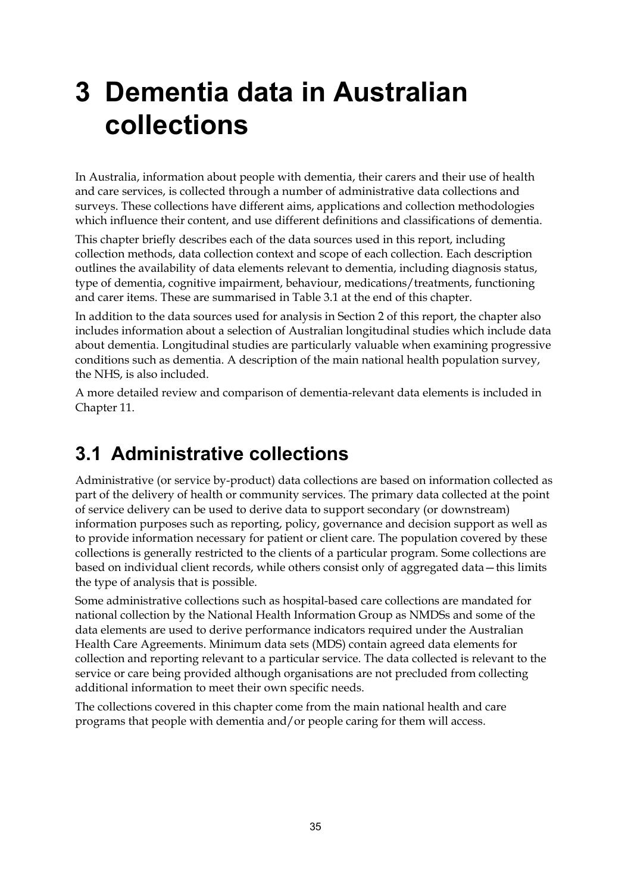# **3 Dementia data in Australian collections**

In Australia, information about people with dementia, their carers and their use of health and care services, is collected through a number of administrative data collections and surveys. These collections have different aims, applications and collection methodologies which influence their content, and use different definitions and classifications of dementia.

This chapter briefly describes each of the data sources used in this report, including collection methods, data collection context and scope of each collection. Each description outlines the availability of data elements relevant to dementia, including diagnosis status, type of dementia, cognitive impairment, behaviour, medications/treatments, functioning and carer items. These are summarised in Table 3.1 at the end of this chapter.

In addition to the data sources used for analysis in Section 2 of this report, the chapter also includes information about a selection of Australian longitudinal studies which include data about dementia. Longitudinal studies are particularly valuable when examining progressive conditions such as dementia. A description of the main national health population survey, the NHS, is also included.

A more detailed review and comparison of dementia-relevant data elements is included in Chapter 11.

# **3.1 Administrative collections**

Administrative (or service by-product) data collections are based on information collected as part of the delivery of health or community services. The primary data collected at the point of service delivery can be used to derive data to support secondary (or downstream) information purposes such as reporting, policy, governance and decision support as well as to provide information necessary for patient or client care. The population covered by these collections is generally restricted to the clients of a particular program. Some collections are based on individual client records, while others consist only of aggregated data—this limits the type of analysis that is possible.

Some administrative collections such as hospital-based care collections are mandated for national collection by the National Health Information Group as NMDSs and some of the data elements are used to derive performance indicators required under the Australian Health Care Agreements. Minimum data sets (MDS) contain agreed data elements for collection and reporting relevant to a particular service. The data collected is relevant to the service or care being provided although organisations are not precluded from collecting additional information to meet their own specific needs.

The collections covered in this chapter come from the main national health and care programs that people with dementia and/or people caring for them will access.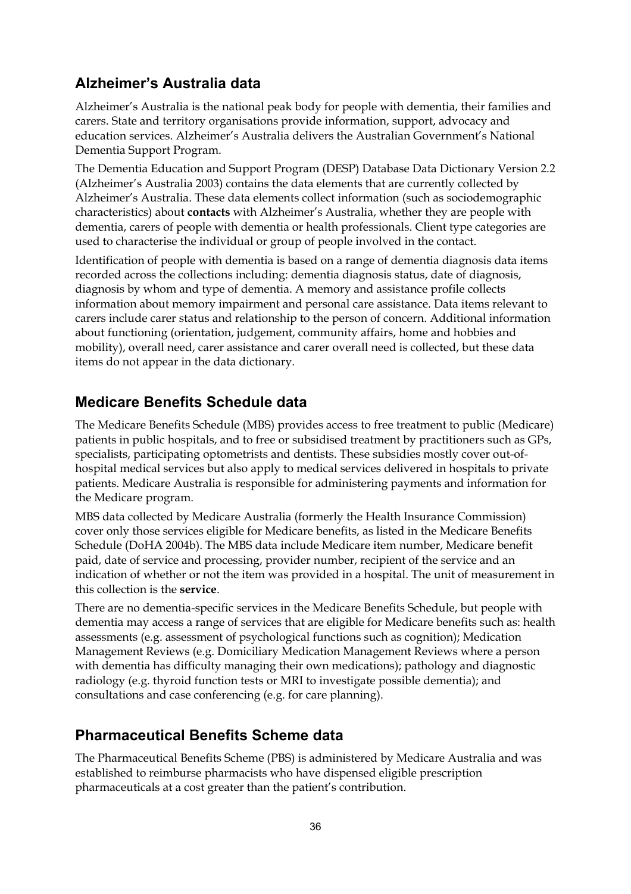## **Alzheimer's Australia data**

Alzheimer's Australia is the national peak body for people with dementia, their families and carers. State and territory organisations provide information, support, advocacy and education services. Alzheimer's Australia delivers the Australian Government's National Dementia Support Program.

The Dementia Education and Support Program (DESP) Database Data Dictionary Version 2.2 (Alzheimer's Australia 2003) contains the data elements that are currently collected by Alzheimer's Australia. These data elements collect information (such as sociodemographic characteristics) about **contacts** with Alzheimer's Australia, whether they are people with dementia, carers of people with dementia or health professionals. Client type categories are used to characterise the individual or group of people involved in the contact.

Identification of people with dementia is based on a range of dementia diagnosis data items recorded across the collections including: dementia diagnosis status, date of diagnosis, diagnosis by whom and type of dementia. A memory and assistance profile collects information about memory impairment and personal care assistance. Data items relevant to carers include carer status and relationship to the person of concern. Additional information about functioning (orientation, judgement, community affairs, home and hobbies and mobility), overall need, carer assistance and carer overall need is collected, but these data items do not appear in the data dictionary.

## **Medicare Benefits Schedule data**

The Medicare Benefits Schedule (MBS) provides access to free treatment to public (Medicare) patients in public hospitals, and to free or subsidised treatment by practitioners such as GPs, specialists, participating optometrists and dentists. These subsidies mostly cover out-ofhospital medical services but also apply to medical services delivered in hospitals to private patients. Medicare Australia is responsible for administering payments and information for the Medicare program.

MBS data collected by Medicare Australia (formerly the Health Insurance Commission) cover only those services eligible for Medicare benefits, as listed in the Medicare Benefits Schedule (DoHA 2004b). The MBS data include Medicare item number, Medicare benefit paid, date of service and processing, provider number, recipient of the service and an indication of whether or not the item was provided in a hospital. The unit of measurement in this collection is the **service**.

There are no dementia-specific services in the Medicare Benefits Schedule, but people with dementia may access a range of services that are eligible for Medicare benefits such as: health assessments (e.g. assessment of psychological functions such as cognition); Medication Management Reviews (e.g. Domiciliary Medication Management Reviews where a person with dementia has difficulty managing their own medications); pathology and diagnostic radiology (e.g. thyroid function tests or MRI to investigate possible dementia); and consultations and case conferencing (e.g. for care planning).

## **Pharmaceutical Benefits Scheme data**

The Pharmaceutical Benefits Scheme (PBS) is administered by Medicare Australia and was established to reimburse pharmacists who have dispensed eligible prescription pharmaceuticals at a cost greater than the patient's contribution.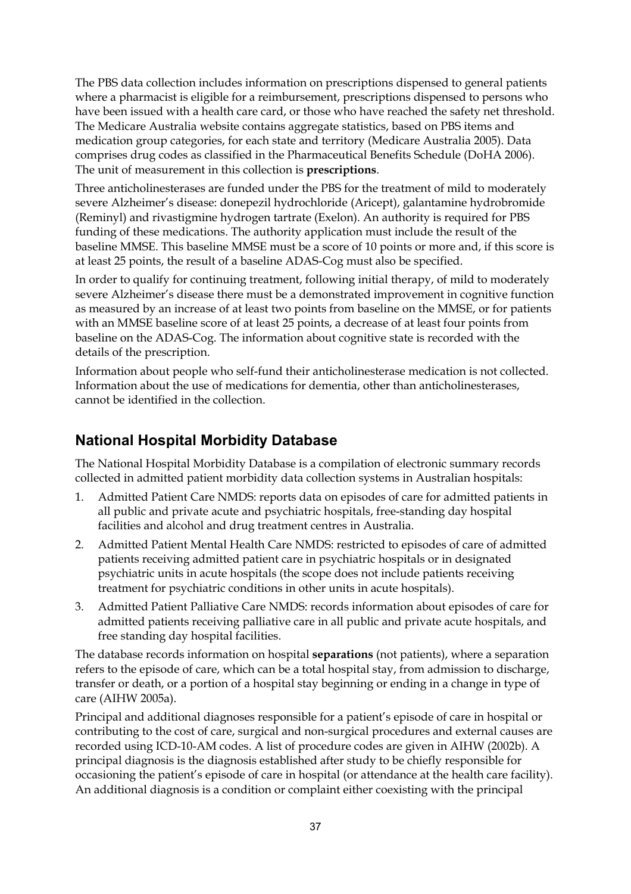The PBS data collection includes information on prescriptions dispensed to general patients where a pharmacist is eligible for a reimbursement, prescriptions dispensed to persons who have been issued with a health care card, or those who have reached the safety net threshold. The Medicare Australia website contains aggregate statistics, based on PBS items and medication group categories, for each state and territory (Medicare Australia 2005). Data comprises drug codes as classified in the Pharmaceutical Benefits Schedule (DoHA 2006). The unit of measurement in this collection is **prescriptions**.

Three anticholinesterases are funded under the PBS for the treatment of mild to moderately severe Alzheimer's disease: donepezil hydrochloride (Aricept), galantamine hydrobromide (Reminyl) and rivastigmine hydrogen tartrate (Exelon). An authority is required for PBS funding of these medications. The authority application must include the result of the baseline MMSE. This baseline MMSE must be a score of 10 points or more and, if this score is at least 25 points, the result of a baseline ADAS-Cog must also be specified.

In order to qualify for continuing treatment, following initial therapy, of mild to moderately severe Alzheimer's disease there must be a demonstrated improvement in cognitive function as measured by an increase of at least two points from baseline on the MMSE, or for patients with an MMSE baseline score of at least 25 points, a decrease of at least four points from baseline on the ADAS-Cog. The information about cognitive state is recorded with the details of the prescription.

Information about people who self-fund their anticholinesterase medication is not collected. Information about the use of medications for dementia, other than anticholinesterases, cannot be identified in the collection.

### **National Hospital Morbidity Database**

The National Hospital Morbidity Database is a compilation of electronic summary records collected in admitted patient morbidity data collection systems in Australian hospitals:

- 1. Admitted Patient Care NMDS: reports data on episodes of care for admitted patients in all public and private acute and psychiatric hospitals, free-standing day hospital facilities and alcohol and drug treatment centres in Australia.
- 2. Admitted Patient Mental Health Care NMDS: restricted to episodes of care of admitted patients receiving admitted patient care in psychiatric hospitals or in designated psychiatric units in acute hospitals (the scope does not include patients receiving treatment for psychiatric conditions in other units in acute hospitals).
- 3. Admitted Patient Palliative Care NMDS: records information about episodes of care for admitted patients receiving palliative care in all public and private acute hospitals, and free standing day hospital facilities.

The database records information on hospital **separations** (not patients), where a separation refers to the episode of care, which can be a total hospital stay, from admission to discharge, transfer or death, or a portion of a hospital stay beginning or ending in a change in type of care (AIHW 2005a).

Principal and additional diagnoses responsible for a patient's episode of care in hospital or contributing to the cost of care, surgical and non-surgical procedures and external causes are recorded using ICD-10-AM codes. A list of procedure codes are given in AIHW (2002b). A principal diagnosis is the diagnosis established after study to be chiefly responsible for occasioning the patient's episode of care in hospital (or attendance at the health care facility). An additional diagnosis is a condition or complaint either coexisting with the principal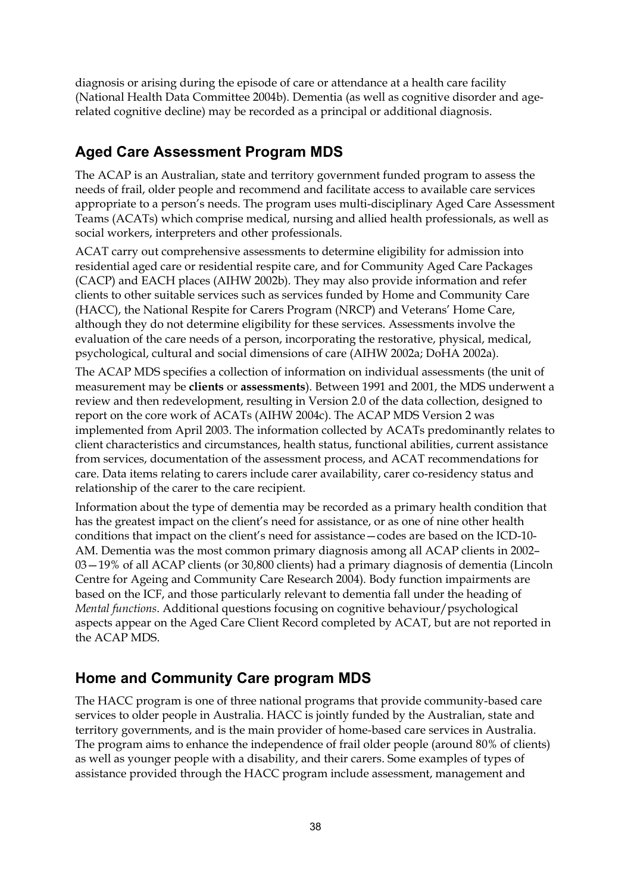diagnosis or arising during the episode of care or attendance at a health care facility (National Health Data Committee 2004b). Dementia (as well as cognitive disorder and agerelated cognitive decline) may be recorded as a principal or additional diagnosis.

## **Aged Care Assessment Program MDS**

The ACAP is an Australian, state and territory government funded program to assess the needs of frail, older people and recommend and facilitate access to available care services appropriate to a person's needs. The program uses multi-disciplinary Aged Care Assessment Teams (ACATs) which comprise medical, nursing and allied health professionals, as well as social workers, interpreters and other professionals.

ACAT carry out comprehensive assessments to determine eligibility for admission into residential aged care or residential respite care, and for Community Aged Care Packages (CACP) and EACH places (AIHW 2002b). They may also provide information and refer clients to other suitable services such as services funded by Home and Community Care (HACC), the National Respite for Carers Program (NRCP) and Veterans' Home Care, although they do not determine eligibility for these services. Assessments involve the evaluation of the care needs of a person, incorporating the restorative, physical, medical, psychological, cultural and social dimensions of care (AIHW 2002a; DoHA 2002a).

The ACAP MDS specifies a collection of information on individual assessments (the unit of measurement may be **clients** or **assessments**). Between 1991 and 2001, the MDS underwent a review and then redevelopment, resulting in Version 2.0 of the data collection, designed to report on the core work of ACATs (AIHW 2004c). The ACAP MDS Version 2 was implemented from April 2003. The information collected by ACATs predominantly relates to client characteristics and circumstances, health status, functional abilities, current assistance from services, documentation of the assessment process, and ACAT recommendations for care. Data items relating to carers include carer availability, carer co-residency status and relationship of the carer to the care recipient.

Information about the type of dementia may be recorded as a primary health condition that has the greatest impact on the client's need for assistance, or as one of nine other health conditions that impact on the client's need for assistance—codes are based on the ICD-10- AM. Dementia was the most common primary diagnosis among all ACAP clients in 2002– 03—19% of all ACAP clients (or 30,800 clients) had a primary diagnosis of dementia (Lincoln Centre for Ageing and Community Care Research 2004). Body function impairments are based on the ICF, and those particularly relevant to dementia fall under the heading of *Mental functions*. Additional questions focusing on cognitive behaviour/psychological aspects appear on the Aged Care Client Record completed by ACAT, but are not reported in the ACAP MDS.

## **Home and Community Care program MDS**

The HACC program is one of three national programs that provide community-based care services to older people in Australia. HACC is jointly funded by the Australian, state and territory governments, and is the main provider of home-based care services in Australia. The program aims to enhance the independence of frail older people (around 80% of clients) as well as younger people with a disability, and their carers. Some examples of types of assistance provided through the HACC program include assessment, management and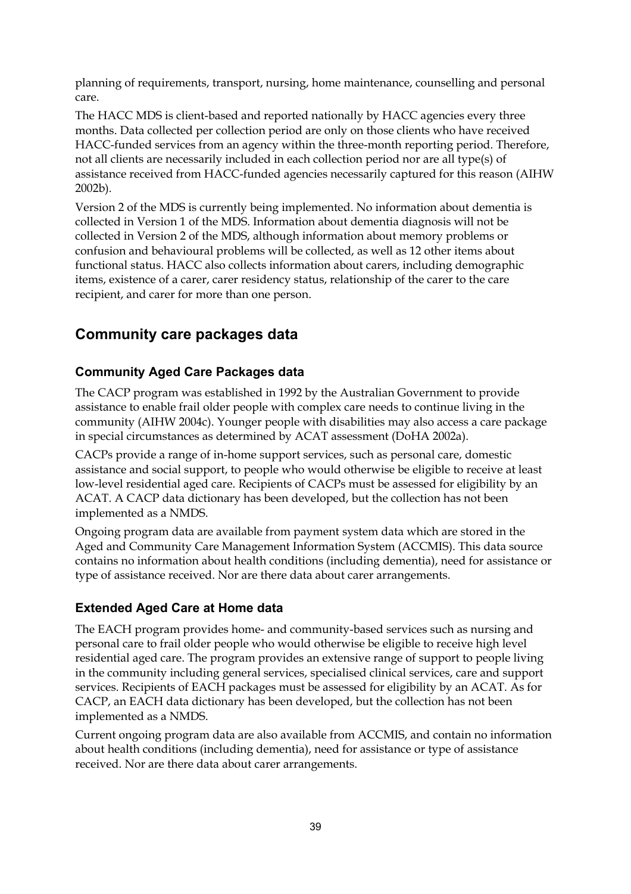planning of requirements, transport, nursing, home maintenance, counselling and personal care.

The HACC MDS is client-based and reported nationally by HACC agencies every three months. Data collected per collection period are only on those clients who have received HACC-funded services from an agency within the three-month reporting period. Therefore, not all clients are necessarily included in each collection period nor are all type(s) of assistance received from HACC-funded agencies necessarily captured for this reason (AIHW 2002b).

Version 2 of the MDS is currently being implemented. No information about dementia is collected in Version 1 of the MDS. Information about dementia diagnosis will not be collected in Version 2 of the MDS, although information about memory problems or confusion and behavioural problems will be collected, as well as 12 other items about functional status. HACC also collects information about carers, including demographic items, existence of a carer, carer residency status, relationship of the carer to the care recipient, and carer for more than one person.

## **Community care packages data**

#### **Community Aged Care Packages data**

The CACP program was established in 1992 by the Australian Government to provide assistance to enable frail older people with complex care needs to continue living in the community (AIHW 2004c). Younger people with disabilities may also access a care package in special circumstances as determined by ACAT assessment (DoHA 2002a).

CACPs provide a range of in-home support services, such as personal care, domestic assistance and social support, to people who would otherwise be eligible to receive at least low-level residential aged care. Recipients of CACPs must be assessed for eligibility by an ACAT. A CACP data dictionary has been developed, but the collection has not been implemented as a NMDS.

Ongoing program data are available from payment system data which are stored in the Aged and Community Care Management Information System (ACCMIS). This data source contains no information about health conditions (including dementia), need for assistance or type of assistance received. Nor are there data about carer arrangements.

#### **Extended Aged Care at Home data**

The EACH program provides home- and community-based services such as nursing and personal care to frail older people who would otherwise be eligible to receive high level residential aged care. The program provides an extensive range of support to people living in the community including general services, specialised clinical services, care and support services. Recipients of EACH packages must be assessed for eligibility by an ACAT. As for CACP, an EACH data dictionary has been developed, but the collection has not been implemented as a NMDS.

Current ongoing program data are also available from ACCMIS, and contain no information about health conditions (including dementia), need for assistance or type of assistance received. Nor are there data about carer arrangements.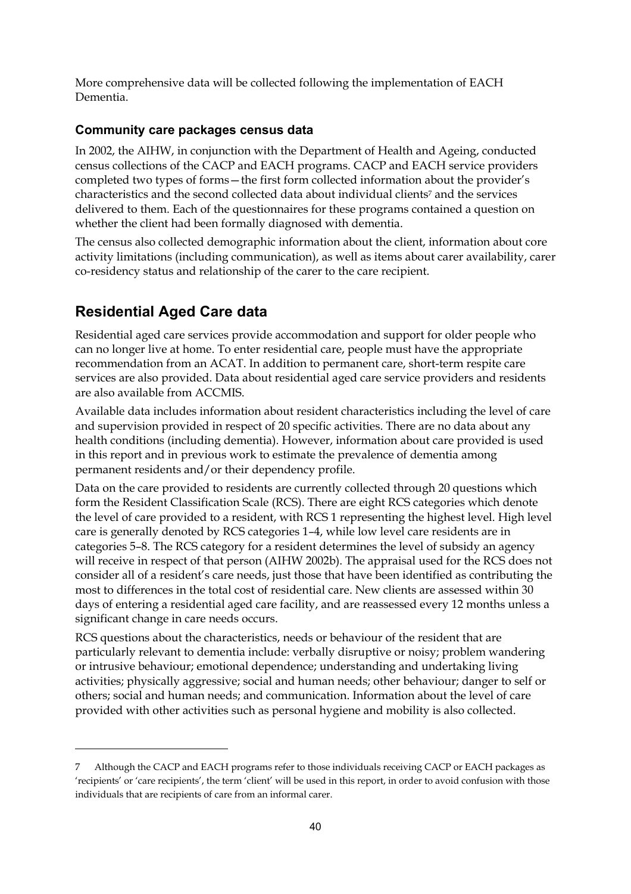More comprehensive data will be collected following the implementation of EACH Dementia.

#### **Community care packages census data**

In 2002, the AIHW, in conjunction with the Department of Health and Ageing, conducted census collections of the CACP and EACH programs. CACP and EACH service providers completed two types of forms—the first form collected information about the provider's characteristics and the second collected data about individual clients7 and the services delivered to them. Each of the questionnaires for these programs contained a question on whether the client had been formally diagnosed with dementia.

The census also collected demographic information about the client, information about core activity limitations (including communication), as well as items about carer availability, carer co-residency status and relationship of the carer to the care recipient.

## **Residential Aged Care data**

 $\ddot{\phantom{a}}$ 

Residential aged care services provide accommodation and support for older people who can no longer live at home. To enter residential care, people must have the appropriate recommendation from an ACAT. In addition to permanent care, short-term respite care services are also provided. Data about residential aged care service providers and residents are also available from ACCMIS.

Available data includes information about resident characteristics including the level of care and supervision provided in respect of 20 specific activities. There are no data about any health conditions (including dementia). However, information about care provided is used in this report and in previous work to estimate the prevalence of dementia among permanent residents and/or their dependency profile.

Data on the care provided to residents are currently collected through 20 questions which form the Resident Classification Scale (RCS). There are eight RCS categories which denote the level of care provided to a resident, with RCS 1 representing the highest level. High level care is generally denoted by RCS categories 1–4, while low level care residents are in categories 5–8. The RCS category for a resident determines the level of subsidy an agency will receive in respect of that person (AIHW 2002b). The appraisal used for the RCS does not consider all of a resident's care needs, just those that have been identified as contributing the most to differences in the total cost of residential care. New clients are assessed within 30 days of entering a residential aged care facility, and are reassessed every 12 months unless a significant change in care needs occurs.

RCS questions about the characteristics, needs or behaviour of the resident that are particularly relevant to dementia include: verbally disruptive or noisy; problem wandering or intrusive behaviour; emotional dependence; understanding and undertaking living activities; physically aggressive; social and human needs; other behaviour; danger to self or others; social and human needs; and communication. Information about the level of care provided with other activities such as personal hygiene and mobility is also collected.

<sup>7</sup> Although the CACP and EACH programs refer to those individuals receiving CACP or EACH packages as 'recipients' or 'care recipients', the term 'client' will be used in this report, in order to avoid confusion with those individuals that are recipients of care from an informal carer.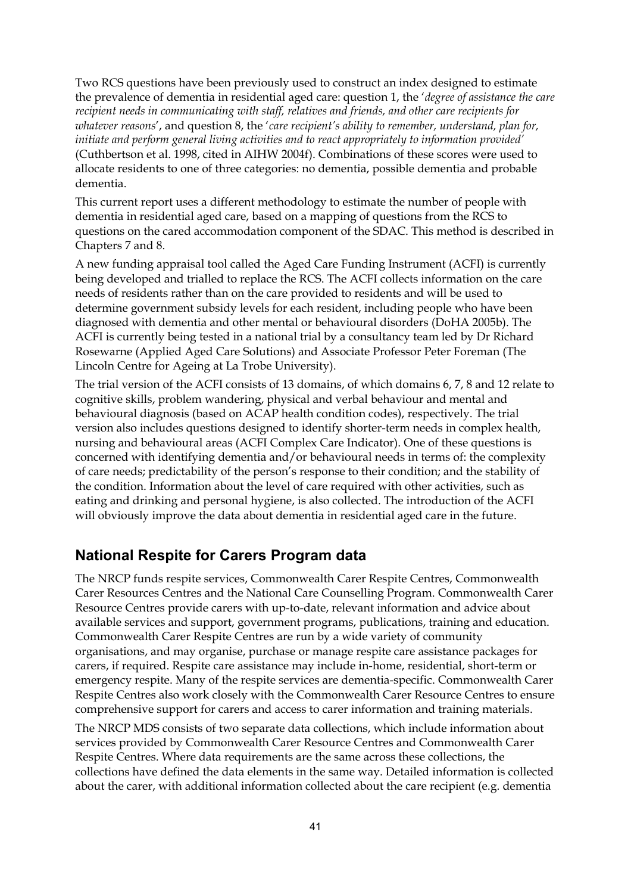Two RCS questions have been previously used to construct an index designed to estimate the prevalence of dementia in residential aged care: question 1, the '*degree of assistance the care recipient needs in communicating with staff, relatives and friends, and other care recipients for whatever reasons*', and question 8, the '*care recipient's ability to remember, understand, plan for, initiate and perform general living activities and to react appropriately to information provided'* (Cuthbertson et al. 1998, cited in AIHW 2004f). Combinations of these scores were used to allocate residents to one of three categories: no dementia, possible dementia and probable dementia.

This current report uses a different methodology to estimate the number of people with dementia in residential aged care, based on a mapping of questions from the RCS to questions on the cared accommodation component of the SDAC. This method is described in Chapters 7 and 8.

A new funding appraisal tool called the Aged Care Funding Instrument (ACFI) is currently being developed and trialled to replace the RCS. The ACFI collects information on the care needs of residents rather than on the care provided to residents and will be used to determine government subsidy levels for each resident, including people who have been diagnosed with dementia and other mental or behavioural disorders (DoHA 2005b). The ACFI is currently being tested in a national trial by a consultancy team led by Dr Richard Rosewarne (Applied Aged Care Solutions) and Associate Professor Peter Foreman (The Lincoln Centre for Ageing at La Trobe University).

The trial version of the ACFI consists of 13 domains, of which domains 6, 7, 8 and 12 relate to cognitive skills, problem wandering, physical and verbal behaviour and mental and behavioural diagnosis (based on ACAP health condition codes), respectively. The trial version also includes questions designed to identify shorter-term needs in complex health, nursing and behavioural areas (ACFI Complex Care Indicator). One of these questions is concerned with identifying dementia and/or behavioural needs in terms of: the complexity of care needs; predictability of the person's response to their condition; and the stability of the condition. Information about the level of care required with other activities, such as eating and drinking and personal hygiene, is also collected. The introduction of the ACFI will obviously improve the data about dementia in residential aged care in the future.

#### **National Respite for Carers Program data**

The NRCP funds respite services, Commonwealth Carer Respite Centres, Commonwealth Carer Resources Centres and the National Care Counselling Program. Commonwealth Carer Resource Centres provide carers with up-to-date, relevant information and advice about available services and support, government programs, publications, training and education. Commonwealth Carer Respite Centres are run by a wide variety of community organisations, and may organise, purchase or manage respite care assistance packages for carers, if required. Respite care assistance may include in-home, residential, short-term or emergency respite. Many of the respite services are dementia-specific. Commonwealth Carer Respite Centres also work closely with the Commonwealth Carer Resource Centres to ensure comprehensive support for carers and access to carer information and training materials.

The NRCP MDS consists of two separate data collections, which include information about services provided by Commonwealth Carer Resource Centres and Commonwealth Carer Respite Centres. Where data requirements are the same across these collections, the collections have defined the data elements in the same way. Detailed information is collected about the carer, with additional information collected about the care recipient (e.g. dementia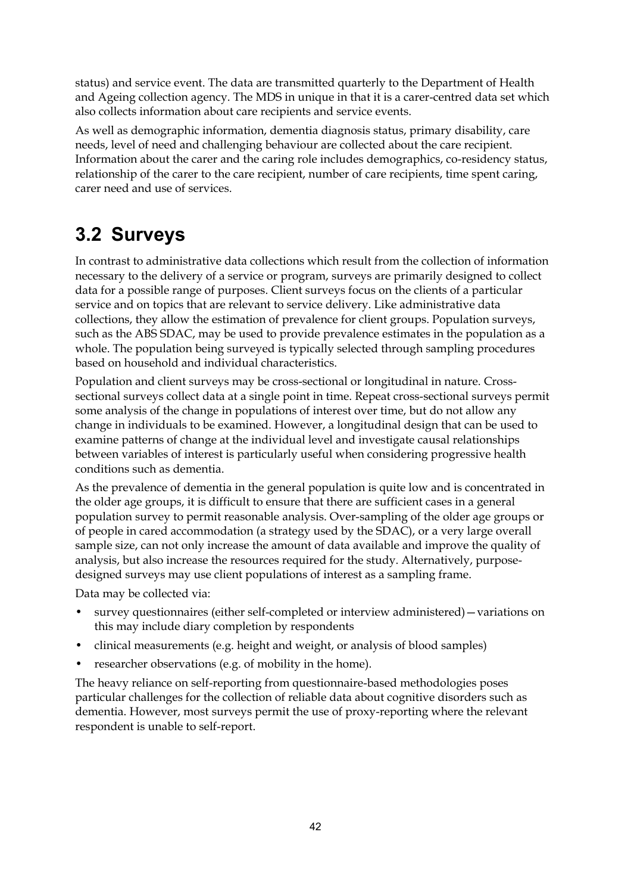status) and service event. The data are transmitted quarterly to the Department of Health and Ageing collection agency. The MDS in unique in that it is a carer-centred data set which also collects information about care recipients and service events.

As well as demographic information, dementia diagnosis status, primary disability, care needs, level of need and challenging behaviour are collected about the care recipient. Information about the carer and the caring role includes demographics, co-residency status, relationship of the carer to the care recipient, number of care recipients, time spent caring, carer need and use of services.

# **3.2 Surveys**

In contrast to administrative data collections which result from the collection of information necessary to the delivery of a service or program, surveys are primarily designed to collect data for a possible range of purposes. Client surveys focus on the clients of a particular service and on topics that are relevant to service delivery. Like administrative data collections, they allow the estimation of prevalence for client groups. Population surveys, such as the ABS SDAC, may be used to provide prevalence estimates in the population as a whole. The population being surveyed is typically selected through sampling procedures based on household and individual characteristics.

Population and client surveys may be cross-sectional or longitudinal in nature. Crosssectional surveys collect data at a single point in time. Repeat cross-sectional surveys permit some analysis of the change in populations of interest over time, but do not allow any change in individuals to be examined. However, a longitudinal design that can be used to examine patterns of change at the individual level and investigate causal relationships between variables of interest is particularly useful when considering progressive health conditions such as dementia.

As the prevalence of dementia in the general population is quite low and is concentrated in the older age groups, it is difficult to ensure that there are sufficient cases in a general population survey to permit reasonable analysis. Over-sampling of the older age groups or of people in cared accommodation (a strategy used by the SDAC), or a very large overall sample size, can not only increase the amount of data available and improve the quality of analysis, but also increase the resources required for the study. Alternatively, purposedesigned surveys may use client populations of interest as a sampling frame.

Data may be collected via:

- survey questionnaires (either self-completed or interview administered)—variations on this may include diary completion by respondents
- clinical measurements (e.g. height and weight, or analysis of blood samples)
- researcher observations (e.g. of mobility in the home).

The heavy reliance on self-reporting from questionnaire-based methodologies poses particular challenges for the collection of reliable data about cognitive disorders such as dementia. However, most surveys permit the use of proxy-reporting where the relevant respondent is unable to self-report.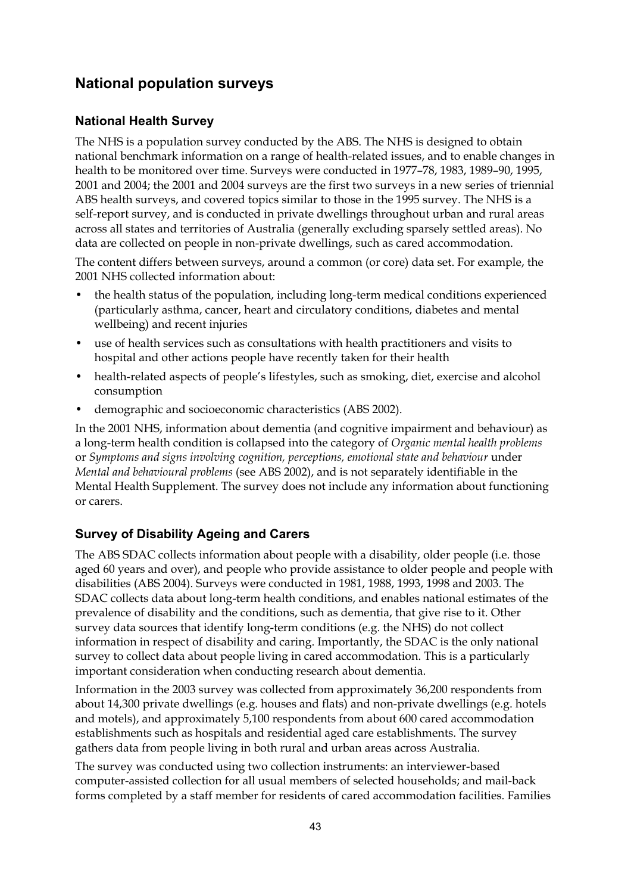## **National population surveys**

#### **National Health Survey**

The NHS is a population survey conducted by the ABS. The NHS is designed to obtain national benchmark information on a range of health-related issues, and to enable changes in health to be monitored over time. Surveys were conducted in 1977–78, 1983, 1989–90, 1995, 2001 and 2004; the 2001 and 2004 surveys are the first two surveys in a new series of triennial ABS health surveys, and covered topics similar to those in the 1995 survey. The NHS is a self-report survey, and is conducted in private dwellings throughout urban and rural areas across all states and territories of Australia (generally excluding sparsely settled areas). No data are collected on people in non-private dwellings, such as cared accommodation.

The content differs between surveys, around a common (or core) data set. For example, the 2001 NHS collected information about:

- the health status of the population, including long-term medical conditions experienced (particularly asthma, cancer, heart and circulatory conditions, diabetes and mental wellbeing) and recent injuries
- use of health services such as consultations with health practitioners and visits to hospital and other actions people have recently taken for their health
- health-related aspects of people's lifestyles, such as smoking, diet, exercise and alcohol consumption
- demographic and socioeconomic characteristics (ABS 2002).

In the 2001 NHS, information about dementia (and cognitive impairment and behaviour) as a long-term health condition is collapsed into the category of *Organic mental health problems* or *Symptoms and signs involving cognition, perceptions, emotional state and behaviour* under *Mental and behavioural problems* (see ABS 2002), and is not separately identifiable in the Mental Health Supplement. The survey does not include any information about functioning or carers.

#### **Survey of Disability Ageing and Carers**

The ABS SDAC collects information about people with a disability, older people (i.e. those aged 60 years and over), and people who provide assistance to older people and people with disabilities (ABS 2004). Surveys were conducted in 1981, 1988, 1993, 1998 and 2003. The SDAC collects data about long-term health conditions, and enables national estimates of the prevalence of disability and the conditions, such as dementia, that give rise to it. Other survey data sources that identify long-term conditions (e.g. the NHS) do not collect information in respect of disability and caring. Importantly, the SDAC is the only national survey to collect data about people living in cared accommodation. This is a particularly important consideration when conducting research about dementia.

Information in the 2003 survey was collected from approximately 36,200 respondents from about 14,300 private dwellings (e.g. houses and flats) and non-private dwellings (e.g. hotels and motels), and approximately 5,100 respondents from about 600 cared accommodation establishments such as hospitals and residential aged care establishments. The survey gathers data from people living in both rural and urban areas across Australia.

The survey was conducted using two collection instruments: an interviewer-based computer-assisted collection for all usual members of selected households; and mail-back forms completed by a staff member for residents of cared accommodation facilities. Families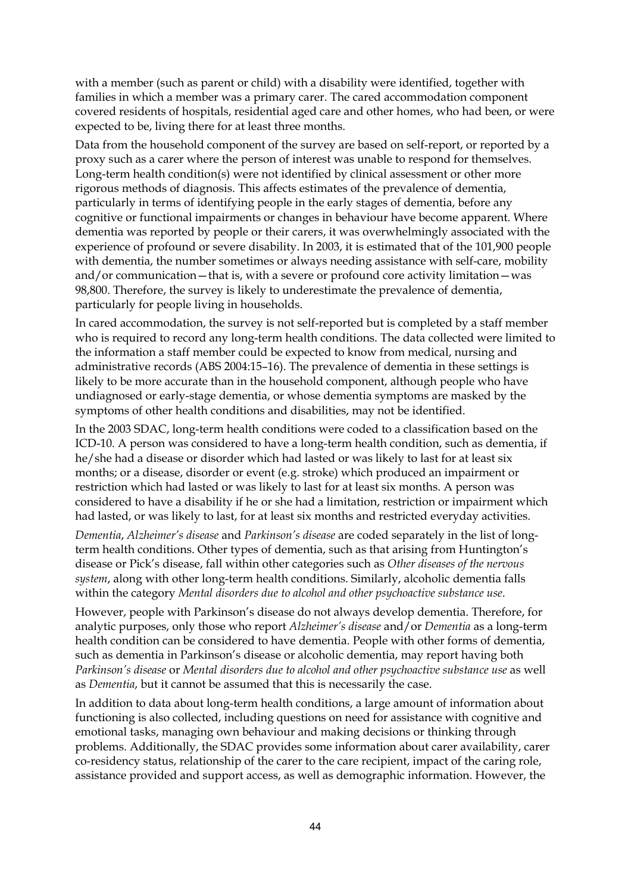with a member (such as parent or child) with a disability were identified, together with families in which a member was a primary carer. The cared accommodation component covered residents of hospitals, residential aged care and other homes, who had been, or were expected to be, living there for at least three months.

Data from the household component of the survey are based on self-report, or reported by a proxy such as a carer where the person of interest was unable to respond for themselves. Long-term health condition(s) were not identified by clinical assessment or other more rigorous methods of diagnosis. This affects estimates of the prevalence of dementia, particularly in terms of identifying people in the early stages of dementia, before any cognitive or functional impairments or changes in behaviour have become apparent. Where dementia was reported by people or their carers, it was overwhelmingly associated with the experience of profound or severe disability. In 2003, it is estimated that of the 101,900 people with dementia, the number sometimes or always needing assistance with self-care, mobility and/or communication—that is, with a severe or profound core activity limitation—was 98,800. Therefore, the survey is likely to underestimate the prevalence of dementia, particularly for people living in households.

In cared accommodation, the survey is not self-reported but is completed by a staff member who is required to record any long-term health conditions. The data collected were limited to the information a staff member could be expected to know from medical, nursing and administrative records (ABS 2004:15–16). The prevalence of dementia in these settings is likely to be more accurate than in the household component, although people who have undiagnosed or early-stage dementia, or whose dementia symptoms are masked by the symptoms of other health conditions and disabilities, may not be identified.

In the 2003 SDAC, long-term health conditions were coded to a classification based on the ICD-10. A person was considered to have a long-term health condition, such as dementia, if he/she had a disease or disorder which had lasted or was likely to last for at least six months; or a disease, disorder or event (e.g. stroke) which produced an impairment or restriction which had lasted or was likely to last for at least six months. A person was considered to have a disability if he or she had a limitation, restriction or impairment which had lasted, or was likely to last, for at least six months and restricted everyday activities.

*Dementia*, *Alzheimer's disease* and *Parkinson's disease* are coded separately in the list of longterm health conditions. Other types of dementia, such as that arising from Huntington's disease or Pick's disease, fall within other categories such as *Other diseases of the nervous system*, along with other long-term health conditions. Similarly, alcoholic dementia falls within the category *Mental disorders due to alcohol and other psychoactive substance use*.

However, people with Parkinson's disease do not always develop dementia. Therefore, for analytic purposes, only those who report *Alzheimer's disease* and/or *Dementia* as a long-term health condition can be considered to have dementia. People with other forms of dementia, such as dementia in Parkinson's disease or alcoholic dementia, may report having both *Parkinson's disease* or *Mental disorders due to alcohol and other psychoactive substance use* as well as *Dementia*, but it cannot be assumed that this is necessarily the case.

In addition to data about long-term health conditions, a large amount of information about functioning is also collected, including questions on need for assistance with cognitive and emotional tasks, managing own behaviour and making decisions or thinking through problems. Additionally, the SDAC provides some information about carer availability, carer co-residency status, relationship of the carer to the care recipient, impact of the caring role, assistance provided and support access, as well as demographic information. However, the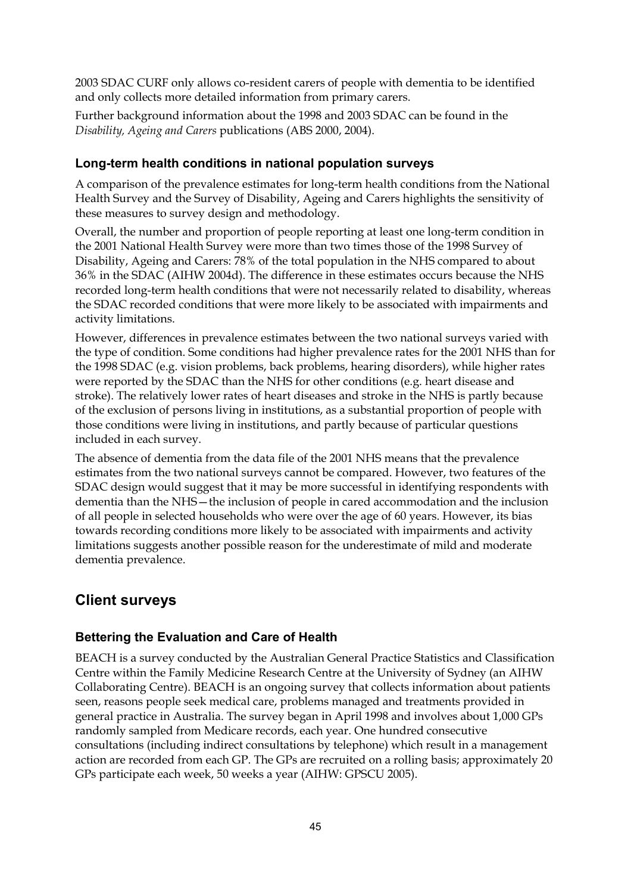2003 SDAC CURF only allows co-resident carers of people with dementia to be identified and only collects more detailed information from primary carers.

Further background information about the 1998 and 2003 SDAC can be found in the *Disability, Ageing and Carers* publications (ABS 2000, 2004).

#### **Long-term health conditions in national population surveys**

A comparison of the prevalence estimates for long-term health conditions from the National Health Survey and the Survey of Disability, Ageing and Carers highlights the sensitivity of these measures to survey design and methodology.

Overall, the number and proportion of people reporting at least one long-term condition in the 2001 National Health Survey were more than two times those of the 1998 Survey of Disability, Ageing and Carers: 78% of the total population in the NHS compared to about 36% in the SDAC (AIHW 2004d). The difference in these estimates occurs because the NHS recorded long-term health conditions that were not necessarily related to disability, whereas the SDAC recorded conditions that were more likely to be associated with impairments and activity limitations.

However, differences in prevalence estimates between the two national surveys varied with the type of condition. Some conditions had higher prevalence rates for the 2001 NHS than for the 1998 SDAC (e.g. vision problems, back problems, hearing disorders), while higher rates were reported by the SDAC than the NHS for other conditions (e.g. heart disease and stroke). The relatively lower rates of heart diseases and stroke in the NHS is partly because of the exclusion of persons living in institutions, as a substantial proportion of people with those conditions were living in institutions, and partly because of particular questions included in each survey.

The absence of dementia from the data file of the 2001 NHS means that the prevalence estimates from the two national surveys cannot be compared. However, two features of the SDAC design would suggest that it may be more successful in identifying respondents with dementia than the NHS—the inclusion of people in cared accommodation and the inclusion of all people in selected households who were over the age of 60 years. However, its bias towards recording conditions more likely to be associated with impairments and activity limitations suggests another possible reason for the underestimate of mild and moderate dementia prevalence.

## **Client surveys**

#### **Bettering the Evaluation and Care of Health**

BEACH is a survey conducted by the Australian General Practice Statistics and Classification Centre within the Family Medicine Research Centre at the University of Sydney (an AIHW Collaborating Centre). BEACH is an ongoing survey that collects information about patients seen, reasons people seek medical care, problems managed and treatments provided in general practice in Australia. The survey began in April 1998 and involves about 1,000 GPs randomly sampled from Medicare records, each year. One hundred consecutive consultations (including indirect consultations by telephone) which result in a management action are recorded from each GP. The GPs are recruited on a rolling basis; approximately 20 GPs participate each week, 50 weeks a year (AIHW: GPSCU 2005).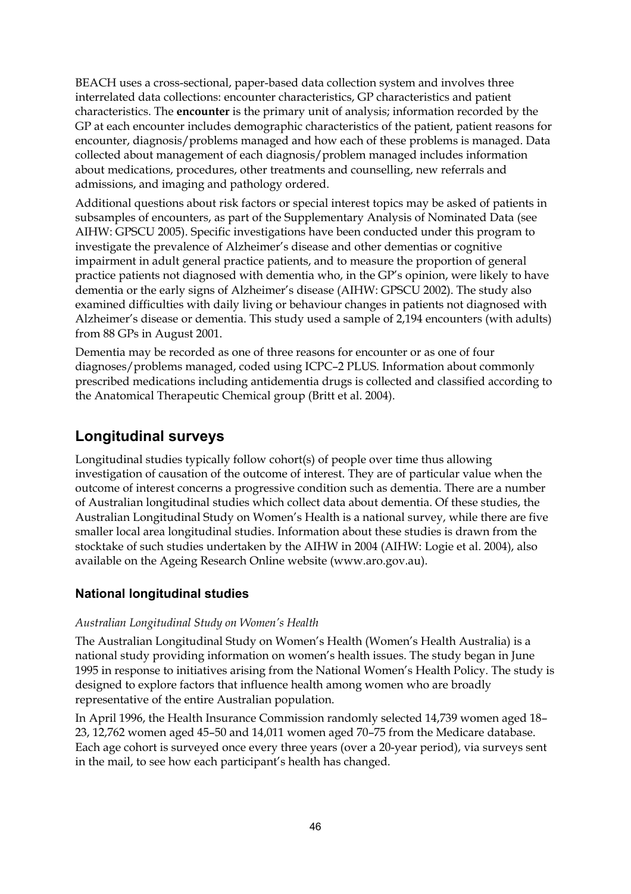BEACH uses a cross-sectional, paper-based data collection system and involves three interrelated data collections: encounter characteristics, GP characteristics and patient characteristics. The **encounter** is the primary unit of analysis; information recorded by the GP at each encounter includes demographic characteristics of the patient, patient reasons for encounter, diagnosis/problems managed and how each of these problems is managed. Data collected about management of each diagnosis/problem managed includes information about medications, procedures, other treatments and counselling, new referrals and admissions, and imaging and pathology ordered.

Additional questions about risk factors or special interest topics may be asked of patients in subsamples of encounters, as part of the Supplementary Analysis of Nominated Data (see AIHW: GPSCU 2005). Specific investigations have been conducted under this program to investigate the prevalence of Alzheimer's disease and other dementias or cognitive impairment in adult general practice patients, and to measure the proportion of general practice patients not diagnosed with dementia who, in the GP's opinion, were likely to have dementia or the early signs of Alzheimer's disease (AIHW: GPSCU 2002). The study also examined difficulties with daily living or behaviour changes in patients not diagnosed with Alzheimer's disease or dementia. This study used a sample of 2,194 encounters (with adults) from 88 GPs in August 2001.

Dementia may be recorded as one of three reasons for encounter or as one of four diagnoses/problems managed, coded using ICPC–2 PLUS. Information about commonly prescribed medications including antidementia drugs is collected and classified according to the Anatomical Therapeutic Chemical group (Britt et al. 2004).

### **Longitudinal surveys**

Longitudinal studies typically follow cohort(s) of people over time thus allowing investigation of causation of the outcome of interest. They are of particular value when the outcome of interest concerns a progressive condition such as dementia. There are a number of Australian longitudinal studies which collect data about dementia. Of these studies, the Australian Longitudinal Study on Women's Health is a national survey, while there are five smaller local area longitudinal studies. Information about these studies is drawn from the stocktake of such studies undertaken by the AIHW in 2004 (AIHW: Logie et al. 2004), also available on the Ageing Research Online website (www.aro.gov.au).

#### **National longitudinal studies**

#### *Australian Longitudinal Study on Women's Health*

The Australian Longitudinal Study on Women's Health (Women's Health Australia) is a national study providing information on women's health issues. The study began in June 1995 in response to initiatives arising from the National Women's Health Policy. The study is designed to explore factors that influence health among women who are broadly representative of the entire Australian population.

In April 1996, the Health Insurance Commission randomly selected 14,739 women aged 18– 23, 12,762 women aged 45–50 and 14,011 women aged 70–75 from the Medicare database. Each age cohort is surveyed once every three years (over a 20-year period), via surveys sent in the mail, to see how each participant's health has changed.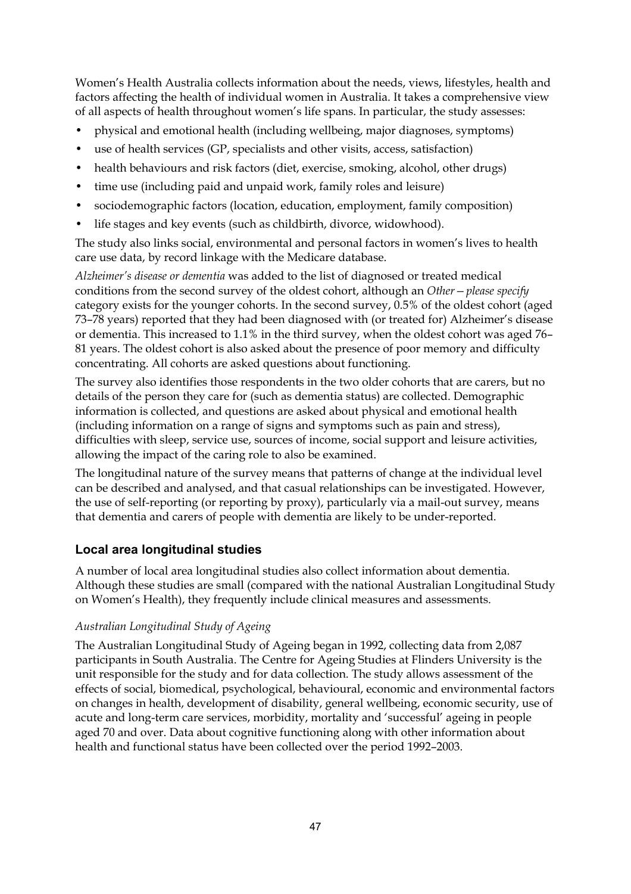Women's Health Australia collects information about the needs, views, lifestyles, health and factors affecting the health of individual women in Australia. It takes a comprehensive view of all aspects of health throughout women's life spans. In particular, the study assesses:

- physical and emotional health (including wellbeing, major diagnoses, symptoms)
- use of health services (GP, specialists and other visits, access, satisfaction)
- health behaviours and risk factors (diet, exercise, smoking, alcohol, other drugs)
- time use (including paid and unpaid work, family roles and leisure)
- sociodemographic factors (location, education, employment, family composition)
- life stages and key events (such as childbirth, divorce, widowhood).

The study also links social, environmental and personal factors in women's lives to health care use data, by record linkage with the Medicare database.

*Alzheimer's disease or dementia* was added to the list of diagnosed or treated medical conditions from the second survey of the oldest cohort, although an *Other—please specify* category exists for the younger cohorts. In the second survey, 0.5% of the oldest cohort (aged 73–78 years) reported that they had been diagnosed with (or treated for) Alzheimer's disease or dementia. This increased to 1.1% in the third survey, when the oldest cohort was aged 76– 81 years. The oldest cohort is also asked about the presence of poor memory and difficulty concentrating. All cohorts are asked questions about functioning.

The survey also identifies those respondents in the two older cohorts that are carers, but no details of the person they care for (such as dementia status) are collected. Demographic information is collected, and questions are asked about physical and emotional health (including information on a range of signs and symptoms such as pain and stress), difficulties with sleep, service use, sources of income, social support and leisure activities, allowing the impact of the caring role to also be examined.

The longitudinal nature of the survey means that patterns of change at the individual level can be described and analysed, and that casual relationships can be investigated. However, the use of self-reporting (or reporting by proxy), particularly via a mail-out survey, means that dementia and carers of people with dementia are likely to be under-reported.

#### **Local area longitudinal studies**

A number of local area longitudinal studies also collect information about dementia. Although these studies are small (compared with the national Australian Longitudinal Study on Women's Health), they frequently include clinical measures and assessments.

#### *Australian Longitudinal Study of Ageing*

The Australian Longitudinal Study of Ageing began in 1992, collecting data from 2,087 participants in South Australia. The Centre for Ageing Studies at Flinders University is the unit responsible for the study and for data collection. The study allows assessment of the effects of social, biomedical, psychological, behavioural, economic and environmental factors on changes in health, development of disability, general wellbeing, economic security, use of acute and long-term care services, morbidity, mortality and 'successful' ageing in people aged 70 and over. Data about cognitive functioning along with other information about health and functional status have been collected over the period 1992–2003.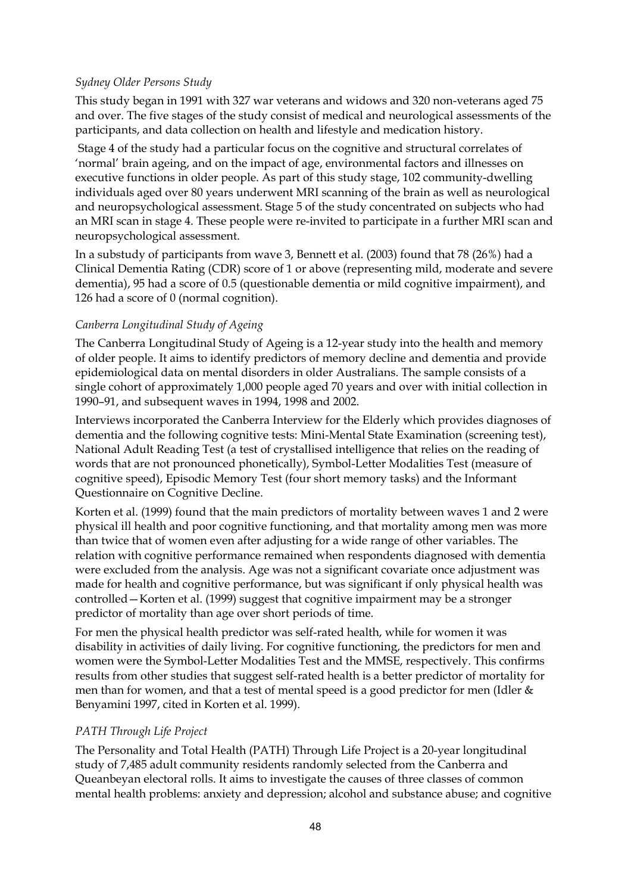#### *Sydney Older Persons Study*

This study began in 1991 with 327 war veterans and widows and 320 non-veterans aged 75 and over. The five stages of the study consist of medical and neurological assessments of the participants, and data collection on health and lifestyle and medication history.

 Stage 4 of the study had a particular focus on the cognitive and structural correlates of 'normal' brain ageing, and on the impact of age, environmental factors and illnesses on executive functions in older people. As part of this study stage, 102 community-dwelling individuals aged over 80 years underwent MRI scanning of the brain as well as neurological and neuropsychological assessment. Stage 5 of the study concentrated on subjects who had an MRI scan in stage 4. These people were re-invited to participate in a further MRI scan and neuropsychological assessment.

In a substudy of participants from wave 3, Bennett et al. (2003) found that 78 (26%) had a Clinical Dementia Rating (CDR) score of 1 or above (representing mild, moderate and severe dementia), 95 had a score of 0.5 (questionable dementia or mild cognitive impairment), and 126 had a score of 0 (normal cognition).

#### *Canberra Longitudinal Study of Ageing*

The Canberra Longitudinal Study of Ageing is a 12-year study into the health and memory of older people. It aims to identify predictors of memory decline and dementia and provide epidemiological data on mental disorders in older Australians. The sample consists of a single cohort of approximately 1,000 people aged 70 years and over with initial collection in 1990–91, and subsequent waves in 1994, 1998 and 2002.

Interviews incorporated the Canberra Interview for the Elderly which provides diagnoses of dementia and the following cognitive tests: Mini-Mental State Examination (screening test), National Adult Reading Test (a test of crystallised intelligence that relies on the reading of words that are not pronounced phonetically), Symbol-Letter Modalities Test (measure of cognitive speed), Episodic Memory Test (four short memory tasks) and the Informant Questionnaire on Cognitive Decline.

Korten et al. (1999) found that the main predictors of mortality between waves 1 and 2 were physical ill health and poor cognitive functioning, and that mortality among men was more than twice that of women even after adjusting for a wide range of other variables. The relation with cognitive performance remained when respondents diagnosed with dementia were excluded from the analysis. Age was not a significant covariate once adjustment was made for health and cognitive performance, but was significant if only physical health was controlled—Korten et al. (1999) suggest that cognitive impairment may be a stronger predictor of mortality than age over short periods of time.

For men the physical health predictor was self-rated health, while for women it was disability in activities of daily living. For cognitive functioning, the predictors for men and women were the Symbol-Letter Modalities Test and the MMSE, respectively. This confirms results from other studies that suggest self-rated health is a better predictor of mortality for men than for women, and that a test of mental speed is a good predictor for men (Idler & Benyamini 1997, cited in Korten et al. 1999).

#### *PATH Through Life Project*

The Personality and Total Health (PATH) Through Life Project is a 20-year longitudinal study of 7,485 adult community residents randomly selected from the Canberra and Queanbeyan electoral rolls. It aims to investigate the causes of three classes of common mental health problems: anxiety and depression; alcohol and substance abuse; and cognitive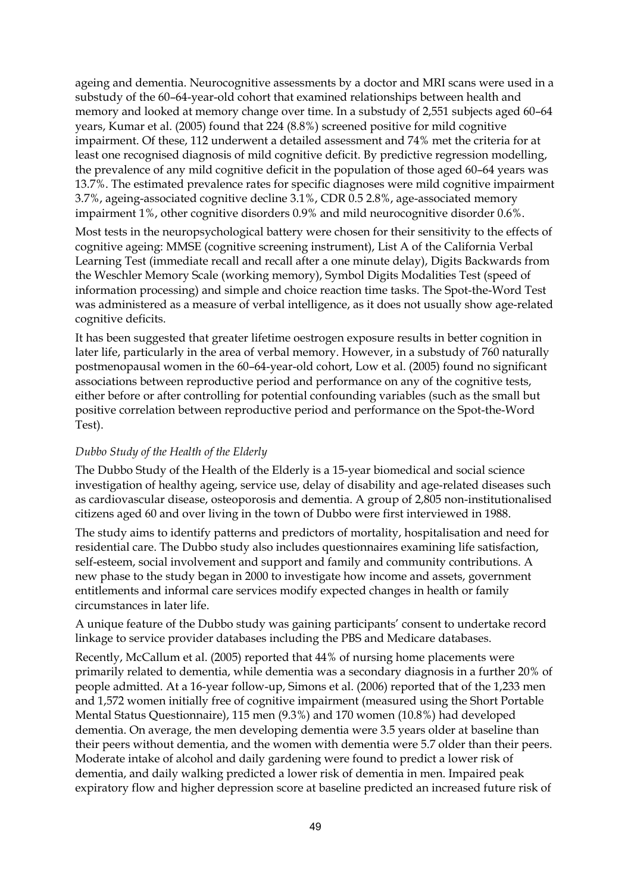ageing and dementia. Neurocognitive assessments by a doctor and MRI scans were used in a substudy of the 60–64-year-old cohort that examined relationships between health and memory and looked at memory change over time. In a substudy of 2,551 subjects aged 60–64 years, Kumar et al. (2005) found that 224 (8.8%) screened positive for mild cognitive impairment. Of these, 112 underwent a detailed assessment and 74% met the criteria for at least one recognised diagnosis of mild cognitive deficit. By predictive regression modelling, the prevalence of any mild cognitive deficit in the population of those aged 60–64 years was 13.7%. The estimated prevalence rates for specific diagnoses were mild cognitive impairment 3.7%, ageing-associated cognitive decline 3.1%, CDR 0.5 2.8%, age-associated memory impairment 1%, other cognitive disorders 0.9% and mild neurocognitive disorder 0.6%.

Most tests in the neuropsychological battery were chosen for their sensitivity to the effects of cognitive ageing: MMSE (cognitive screening instrument), List A of the California Verbal Learning Test (immediate recall and recall after a one minute delay), Digits Backwards from the Weschler Memory Scale (working memory), Symbol Digits Modalities Test (speed of information processing) and simple and choice reaction time tasks. The Spot-the-Word Test was administered as a measure of verbal intelligence, as it does not usually show age-related cognitive deficits.

It has been suggested that greater lifetime oestrogen exposure results in better cognition in later life, particularly in the area of verbal memory. However, in a substudy of 760 naturally postmenopausal women in the 60–64-year-old cohort, Low et al. (2005) found no significant associations between reproductive period and performance on any of the cognitive tests, either before or after controlling for potential confounding variables (such as the small but positive correlation between reproductive period and performance on the Spot-the-Word Test).

#### *Dubbo Study of the Health of the Elderly*

The Dubbo Study of the Health of the Elderly is a 15-year biomedical and social science investigation of healthy ageing, service use, delay of disability and age-related diseases such as cardiovascular disease, osteoporosis and dementia. A group of 2,805 non-institutionalised citizens aged 60 and over living in the town of Dubbo were first interviewed in 1988.

The study aims to identify patterns and predictors of mortality, hospitalisation and need for residential care. The Dubbo study also includes questionnaires examining life satisfaction, self-esteem, social involvement and support and family and community contributions. A new phase to the study began in 2000 to investigate how income and assets, government entitlements and informal care services modify expected changes in health or family circumstances in later life.

A unique feature of the Dubbo study was gaining participants' consent to undertake record linkage to service provider databases including the PBS and Medicare databases.

Recently, McCallum et al. (2005) reported that 44% of nursing home placements were primarily related to dementia, while dementia was a secondary diagnosis in a further 20% of people admitted. At a 16-year follow-up, Simons et al. (2006) reported that of the 1,233 men and 1,572 women initially free of cognitive impairment (measured using the Short Portable Mental Status Questionnaire), 115 men (9.3%) and 170 women (10.8%) had developed dementia. On average, the men developing dementia were 3.5 years older at baseline than their peers without dementia, and the women with dementia were 5.7 older than their peers. Moderate intake of alcohol and daily gardening were found to predict a lower risk of dementia, and daily walking predicted a lower risk of dementia in men. Impaired peak expiratory flow and higher depression score at baseline predicted an increased future risk of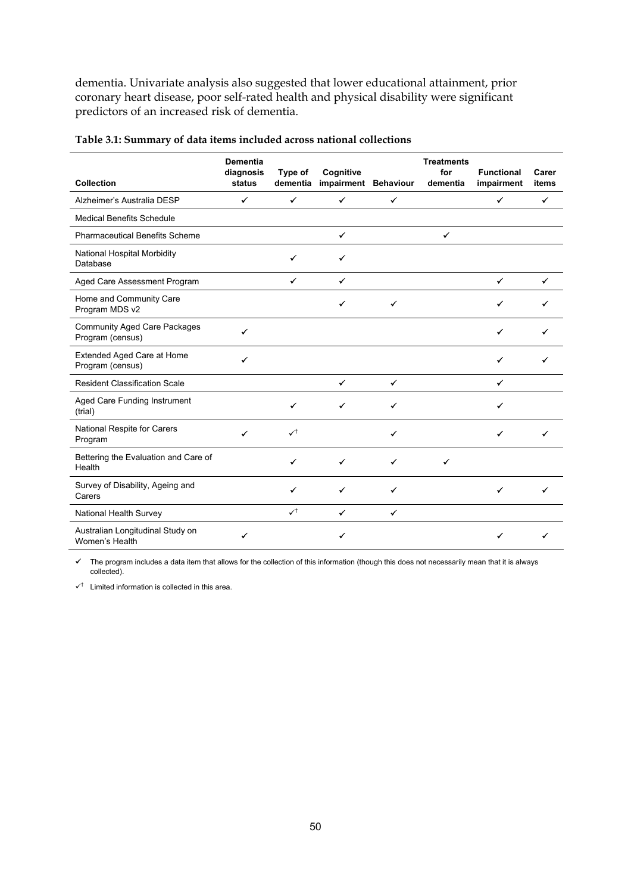dementia. Univariate analysis also suggested that lower educational attainment, prior coronary heart disease, poor self-rated health and physical disability were significant predictors of an increased risk of dementia.

| Collection                                              | <b>Dementia</b><br>diagnosis<br>status | Type of<br>dementia | Cognitive<br>impairment Behaviour |              | <b>Treatments</b><br>for<br>dementia | <b>Functional</b><br>impairment | Carer<br>items |
|---------------------------------------------------------|----------------------------------------|---------------------|-----------------------------------|--------------|--------------------------------------|---------------------------------|----------------|
| Alzheimer's Australia DESP                              | $\checkmark$                           | $\checkmark$        | $\checkmark$                      | $\checkmark$ |                                      | $\checkmark$                    | $\checkmark$   |
| <b>Medical Benefits Schedule</b>                        |                                        |                     |                                   |              |                                      |                                 |                |
| <b>Pharmaceutical Benefits Scheme</b>                   |                                        |                     | ✔                                 |              | ✔                                    |                                 |                |
| National Hospital Morbidity<br>Database                 |                                        | ✓                   | ✔                                 |              |                                      |                                 |                |
| Aged Care Assessment Program                            |                                        | ✔                   | $\checkmark$                      |              |                                      | $\checkmark$                    | ✓              |
| Home and Community Care<br>Program MDS v2               |                                        |                     | ✔                                 | ✓            |                                      |                                 |                |
| <b>Community Aged Care Packages</b><br>Program (census) | ✓                                      |                     |                                   |              |                                      | ✔                               |                |
| Extended Aged Care at Home<br>Program (census)          | ✔                                      |                     |                                   |              |                                      |                                 |                |
| <b>Resident Classification Scale</b>                    |                                        |                     | $\checkmark$                      | $\checkmark$ |                                      | ✔                               |                |
| Aged Care Funding Instrument<br>(trial)                 |                                        | ✔                   | ✔                                 | ✔            |                                      | ✔                               |                |
| National Respite for Carers<br>Program                  | ✔                                      | $\checkmark$        |                                   |              |                                      |                                 |                |
| Bettering the Evaluation and Care of<br>Health          |                                        | ✔                   | ✔                                 | ✔            | ✓                                    |                                 |                |
| Survey of Disability, Ageing and<br>Carers              |                                        |                     | ✔                                 | ✔            |                                      | ✔                               |                |
| National Health Survey                                  |                                        | $\checkmark$        | ✔                                 | ✔            |                                      |                                 |                |
| Australian Longitudinal Study on<br>Women's Health      | ✔                                      |                     |                                   |              |                                      |                                 |                |

| Table 3.1: Summary of data items included across national collections |  |  |  |
|-----------------------------------------------------------------------|--|--|--|
|-----------------------------------------------------------------------|--|--|--|

 $\checkmark$  The program includes a data item that allows for the collection of this information (though this does not necessarily mean that it is always collected).

 $\checkmark$ <sup>†</sup> Limited information is collected in this area.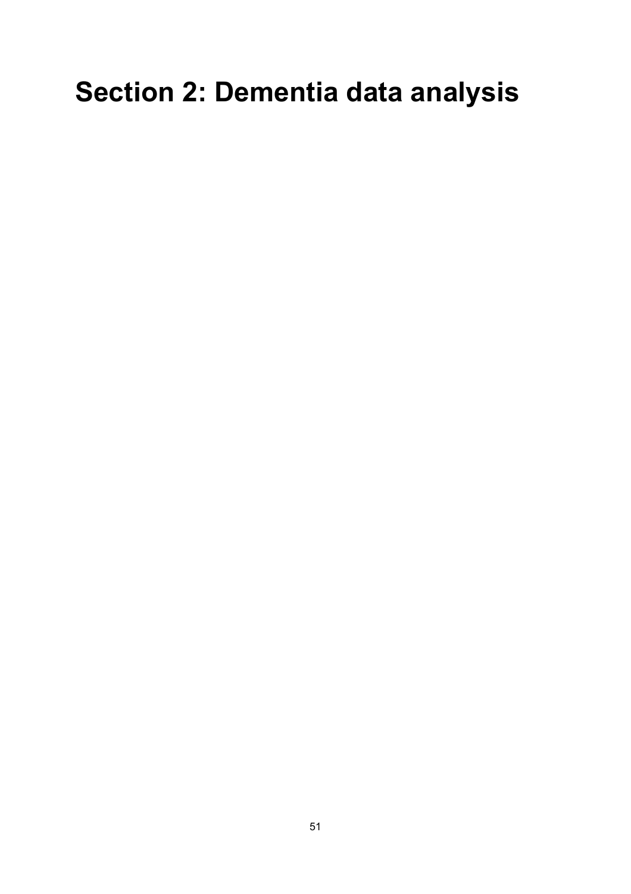# **Section 2: Dementia data analysis**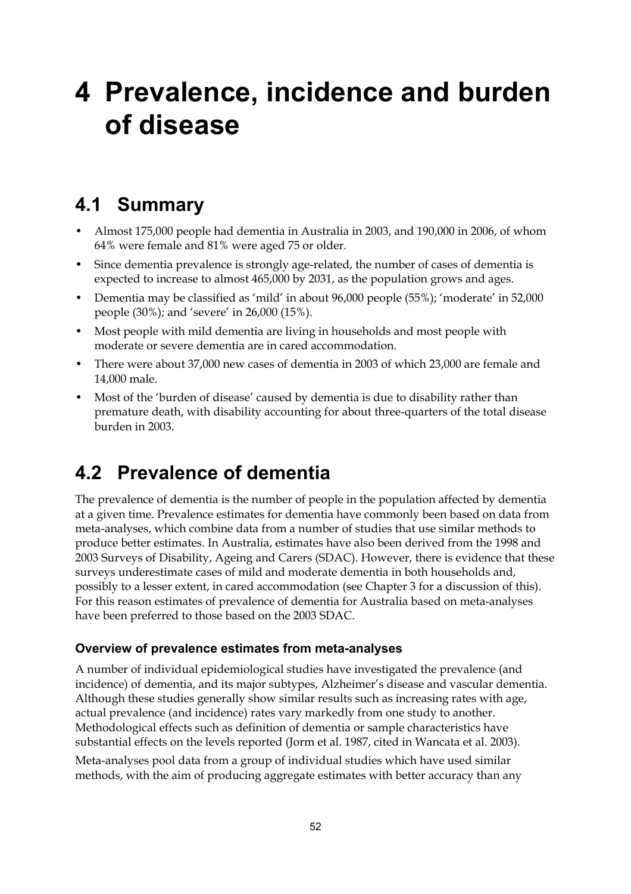# **4 Prevalence, incidence and burden of disease**

## **4.1 Summary**

- Almost 175,000 people had dementia in Australia in 2003, and 190,000 in 2006, of whom 64% were female and 81% were aged 75 or older.
- Since dementia prevalence is strongly age-related, the number of cases of dementia is expected to increase to almost 465,000 by 2031, as the population grows and ages.
- Dementia may be classified as 'mild' in about 96,000 people (55%); 'moderate' in 52,000 people (30%); and 'severe' in 26,000 (15%).
- Most people with mild dementia are living in households and most people with moderate or severe dementia are in cared accommodation.
- There were about 37,000 new cases of dementia in 2003 of which 23,000 are female and 14,000 male.
- Most of the 'burden of disease' caused by dementia is due to disability rather than premature death, with disability accounting for about three-quarters of the total disease burden in 2003.

# **4.2 Prevalence of dementia**

The prevalence of dementia is the number of people in the population affected by dementia at a given time. Prevalence estimates for dementia have commonly been based on data from meta-analyses, which combine data from a number of studies that use similar methods to produce better estimates. In Australia, estimates have also been derived from the 1998 and 2003 Surveys of Disability, Ageing and Carers (SDAC). However, there is evidence that these surveys underestimate cases of mild and moderate dementia in both households and, possibly to a lesser extent, in cared accommodation (see Chapter 3 for a discussion of this). For this reason estimates of prevalence of dementia for Australia based on meta-analyses have been preferred to those based on the 2003 SDAC.

#### **Overview of prevalence estimates from meta-analyses**

A number of individual epidemiological studies have investigated the prevalence (and incidence) of dementia, and its major subtypes, Alzheimer's disease and vascular dementia. Although these studies generally show similar results such as increasing rates with age, actual prevalence (and incidence) rates vary markedly from one study to another. Methodological effects such as definition of dementia or sample characteristics have substantial effects on the levels reported (Jorm et al. 1987, cited in Wancata et al. 2003).

Meta-analyses pool data from a group of individual studies which have used similar methods, with the aim of producing aggregate estimates with better accuracy than any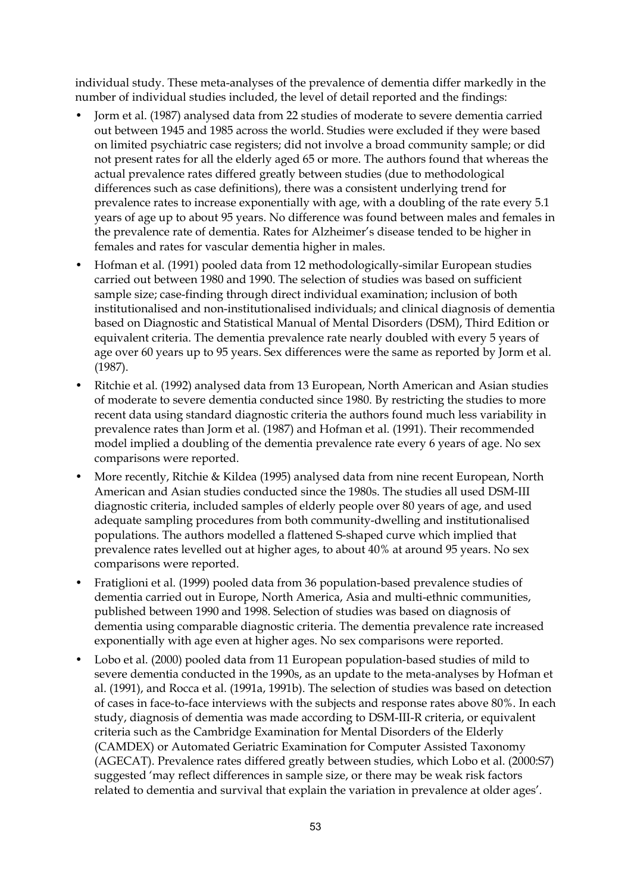individual study. These meta-analyses of the prevalence of dementia differ markedly in the number of individual studies included, the level of detail reported and the findings:

- Jorm et al. (1987) analysed data from 22 studies of moderate to severe dementia carried out between 1945 and 1985 across the world. Studies were excluded if they were based on limited psychiatric case registers; did not involve a broad community sample; or did not present rates for all the elderly aged 65 or more. The authors found that whereas the actual prevalence rates differed greatly between studies (due to methodological differences such as case definitions), there was a consistent underlying trend for prevalence rates to increase exponentially with age, with a doubling of the rate every 5.1 years of age up to about 95 years. No difference was found between males and females in the prevalence rate of dementia. Rates for Alzheimer's disease tended to be higher in females and rates for vascular dementia higher in males.
- Hofman et al. (1991) pooled data from 12 methodologically-similar European studies carried out between 1980 and 1990. The selection of studies was based on sufficient sample size; case-finding through direct individual examination; inclusion of both institutionalised and non-institutionalised individuals; and clinical diagnosis of dementia based on Diagnostic and Statistical Manual of Mental Disorders (DSM), Third Edition or equivalent criteria. The dementia prevalence rate nearly doubled with every 5 years of age over 60 years up to 95 years. Sex differences were the same as reported by Jorm et al. (1987).
- Ritchie et al. (1992) analysed data from 13 European, North American and Asian studies of moderate to severe dementia conducted since 1980. By restricting the studies to more recent data using standard diagnostic criteria the authors found much less variability in prevalence rates than Jorm et al. (1987) and Hofman et al. (1991). Their recommended model implied a doubling of the dementia prevalence rate every 6 years of age. No sex comparisons were reported.
- More recently, Ritchie & Kildea (1995) analysed data from nine recent European, North American and Asian studies conducted since the 1980s. The studies all used DSM-III diagnostic criteria, included samples of elderly people over 80 years of age, and used adequate sampling procedures from both community-dwelling and institutionalised populations. The authors modelled a flattened S-shaped curve which implied that prevalence rates levelled out at higher ages, to about 40% at around 95 years. No sex comparisons were reported.
- Fratiglioni et al. (1999) pooled data from 36 population-based prevalence studies of dementia carried out in Europe, North America, Asia and multi-ethnic communities, published between 1990 and 1998. Selection of studies was based on diagnosis of dementia using comparable diagnostic criteria. The dementia prevalence rate increased exponentially with age even at higher ages. No sex comparisons were reported.
- Lobo et al. (2000) pooled data from 11 European population-based studies of mild to severe dementia conducted in the 1990s, as an update to the meta-analyses by Hofman et al. (1991), and Rocca et al. (1991a, 1991b). The selection of studies was based on detection of cases in face-to-face interviews with the subjects and response rates above 80%. In each study, diagnosis of dementia was made according to DSM-III-R criteria, or equivalent criteria such as the Cambridge Examination for Mental Disorders of the Elderly (CAMDEX) or Automated Geriatric Examination for Computer Assisted Taxonomy (AGECAT). Prevalence rates differed greatly between studies, which Lobo et al. (2000:S7) suggested 'may reflect differences in sample size, or there may be weak risk factors related to dementia and survival that explain the variation in prevalence at older ages'.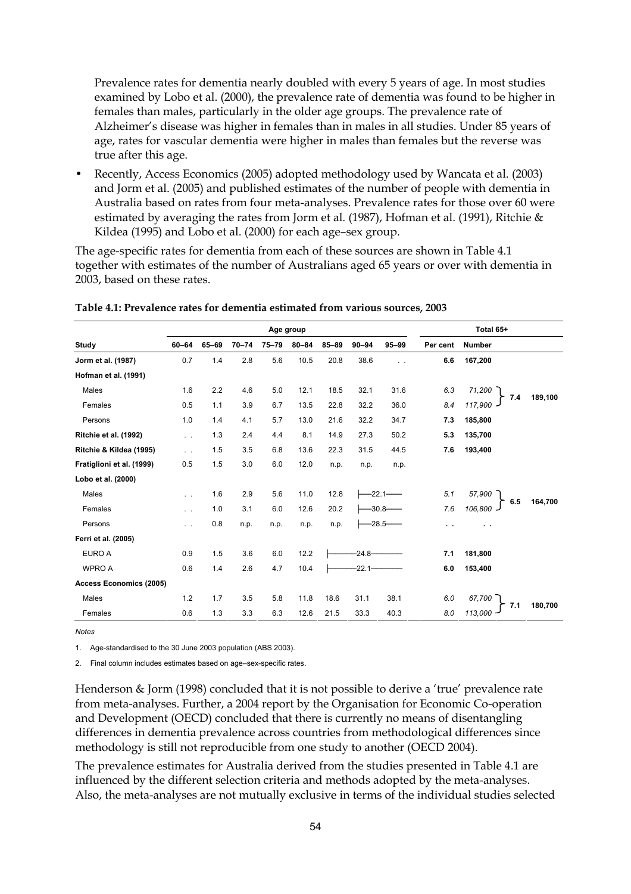Prevalence rates for dementia nearly doubled with every 5 years of age. In most studies examined by Lobo et al. (2000), the prevalence rate of dementia was found to be higher in females than males, particularly in the older age groups. The prevalence rate of Alzheimer's disease was higher in females than in males in all studies. Under 85 years of age, rates for vascular dementia were higher in males than females but the reverse was true after this age.

• Recently, Access Economics (2005) adopted methodology used by Wancata et al. (2003) and Jorm et al. (2005) and published estimates of the number of people with dementia in Australia based on rates from four meta-analyses. Prevalence rates for those over 60 were estimated by averaging the rates from Jorm et al. (1987), Hofman et al. (1991), Ritchie & Kildea (1995) and Lobo et al. (2000) for each age–sex group.

The age-specific rates for dementia from each of these sources are shown in Table 4.1 together with estimates of the number of Australians aged 65 years or over with dementia in 2003, based on these rates.

|                                |               |       |           |           | Age group |           |           |           |           | Total 65+      |         |
|--------------------------------|---------------|-------|-----------|-----------|-----------|-----------|-----------|-----------|-----------|----------------|---------|
| Study                          | $60 - 64$     | 65-69 | $70 - 74$ | $75 - 79$ | $80 - 84$ | $85 - 89$ | $90 - 94$ | $95 - 99$ | Per cent  | <b>Number</b>  |         |
| Jorm et al. (1987)             | 0.7           | 1.4   | 2.8       | 5.6       | 10.5      | 20.8      | 38.6      | . .       | 6.6       | 167,200        |         |
| Hofman et al. (1991)           |               |       |           |           |           |           |           |           |           |                |         |
| Males                          | 1.6           | 2.2   | 4.6       | 5.0       | 12.1      | 18.5      | 32.1      | 31.6      | 6.3       | 71,200         |         |
| Females                        | 0.5           | 1.1   | 3.9       | 6.7       | 13.5      | 22.8      | 32.2      | 36.0      | 8.4       | 7.4<br>117,900 | 189,100 |
| Persons                        | 1.0           | 1.4   | 4.1       | 5.7       | 13.0      | 21.6      | 32.2      | 34.7      | 7.3       | 185,800        |         |
| Ritchie et al. (1992)          | $\sim$ $\sim$ | 1.3   | 2.4       | 4.4       | 8.1       | 14.9      | 27.3      | 50.2      | 5.3       | 135,700        |         |
| Ritchie & Kildea (1995)        | $\sim$ $\sim$ | 1.5   | 3.5       | 6.8       | 13.6      | 22.3      | 31.5      | 44.5      | 7.6       | 193,400        |         |
| Fratiglioni et al. (1999)      | 0.5           | 1.5   | 3.0       | 6.0       | 12.0      | n.p.      | n.p.      | n.p.      |           |                |         |
| Lobo et al. (2000)             |               |       |           |           |           |           |           |           |           |                |         |
| Males                          | $\ddotsc$     | 1.6   | 2.9       | 5.6       | 11.0      | 12.8      | $-22.1$   |           | 5.1       | 57,900         | 164.700 |
| Females                        | $\ddotsc$     | 1.0   | 3.1       | 6.0       | 12.6      | 20.2      |           | $-30.8-$  | 7.6       | 6.5<br>106,800 |         |
| Persons                        | $\sim$        | 0.8   | n.p.      | n.p.      | n.p.      | n.p.      |           | $-28.5$ — | $\ddotsc$ | . .            |         |
| Ferri et al. (2005)            |               |       |           |           |           |           |           |           |           |                |         |
| EURO A                         | 0.9           | 1.5   | 3.6       | 6.0       | 12.2      |           | $-24.8-$  |           | 7.1       | 181,800        |         |
| <b>WPRO A</b>                  | 0.6           | 1.4   | 2.6       | 4.7       | 10.4      |           | $-22.1$   |           | 6.0       | 153,400        |         |
| <b>Access Economics (2005)</b> |               |       |           |           |           |           |           |           |           |                |         |
| Males                          | 1.2           | 1.7   | 3.5       | 5.8       | 11.8      | 18.6      | 31.1      | 38.1      | 6.0       | 67.700         |         |
| Females                        | 0.6           | 1.3   | 3.3       | 6.3       | 12.6      | 21.5      | 33.3      | 40.3      | 8.0       | 7.1<br>113,000 | 180.700 |

#### **Table 4.1: Prevalence rates for dementia estimated from various sources, 2003**

*Notes* 

1. Age-standardised to the 30 June 2003 population (ABS 2003).

2. Final column includes estimates based on age–sex-specific rates.

Henderson & Jorm (1998) concluded that it is not possible to derive a 'true' prevalence rate from meta-analyses. Further, a 2004 report by the Organisation for Economic Co-operation and Development (OECD) concluded that there is currently no means of disentangling differences in dementia prevalence across countries from methodological differences since methodology is still not reproducible from one study to another (OECD 2004).

The prevalence estimates for Australia derived from the studies presented in Table 4.1 are influenced by the different selection criteria and methods adopted by the meta-analyses. Also, the meta-analyses are not mutually exclusive in terms of the individual studies selected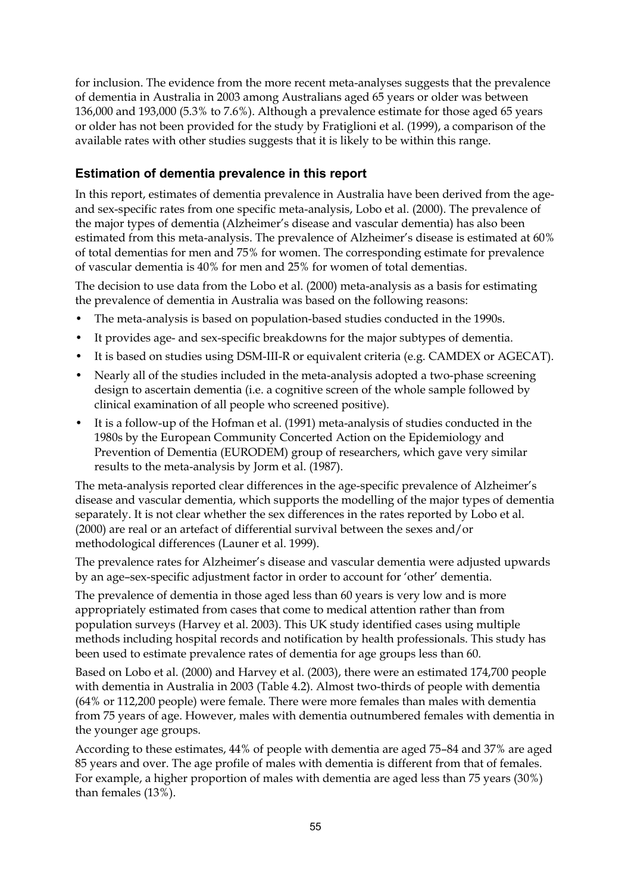for inclusion. The evidence from the more recent meta-analyses suggests that the prevalence of dementia in Australia in 2003 among Australians aged 65 years or older was between 136,000 and 193,000 (5.3% to 7.6%). Although a prevalence estimate for those aged 65 years or older has not been provided for the study by Fratiglioni et al. (1999), a comparison of the available rates with other studies suggests that it is likely to be within this range.

#### **Estimation of dementia prevalence in this report**

In this report, estimates of dementia prevalence in Australia have been derived from the ageand sex-specific rates from one specific meta-analysis, Lobo et al. (2000). The prevalence of the major types of dementia (Alzheimer's disease and vascular dementia) has also been estimated from this meta-analysis. The prevalence of Alzheimer's disease is estimated at 60% of total dementias for men and 75% for women. The corresponding estimate for prevalence of vascular dementia is 40% for men and 25% for women of total dementias.

The decision to use data from the Lobo et al. (2000) meta-analysis as a basis for estimating the prevalence of dementia in Australia was based on the following reasons:

- The meta-analysis is based on population-based studies conducted in the 1990s.
- It provides age- and sex-specific breakdowns for the major subtypes of dementia.
- It is based on studies using DSM-III-R or equivalent criteria (e.g. CAMDEX or AGECAT).
- Nearly all of the studies included in the meta-analysis adopted a two-phase screening design to ascertain dementia (i.e. a cognitive screen of the whole sample followed by clinical examination of all people who screened positive).
- It is a follow-up of the Hofman et al. (1991) meta-analysis of studies conducted in the 1980s by the European Community Concerted Action on the Epidemiology and Prevention of Dementia (EURODEM) group of researchers, which gave very similar results to the meta-analysis by Jorm et al. (1987).

The meta-analysis reported clear differences in the age-specific prevalence of Alzheimer's disease and vascular dementia, which supports the modelling of the major types of dementia separately. It is not clear whether the sex differences in the rates reported by Lobo et al. (2000) are real or an artefact of differential survival between the sexes and/or methodological differences (Launer et al. 1999).

The prevalence rates for Alzheimer's disease and vascular dementia were adjusted upwards by an age–sex-specific adjustment factor in order to account for 'other' dementia.

The prevalence of dementia in those aged less than 60 years is very low and is more appropriately estimated from cases that come to medical attention rather than from population surveys (Harvey et al. 2003). This UK study identified cases using multiple methods including hospital records and notification by health professionals. This study has been used to estimate prevalence rates of dementia for age groups less than 60.

Based on Lobo et al. (2000) and Harvey et al. (2003), there were an estimated 174,700 people with dementia in Australia in 2003 (Table 4.2). Almost two-thirds of people with dementia (64% or 112,200 people) were female. There were more females than males with dementia from 75 years of age. However, males with dementia outnumbered females with dementia in the younger age groups.

According to these estimates, 44% of people with dementia are aged 75–84 and 37% are aged 85 years and over. The age profile of males with dementia is different from that of females. For example, a higher proportion of males with dementia are aged less than 75 years (30%) than females (13%).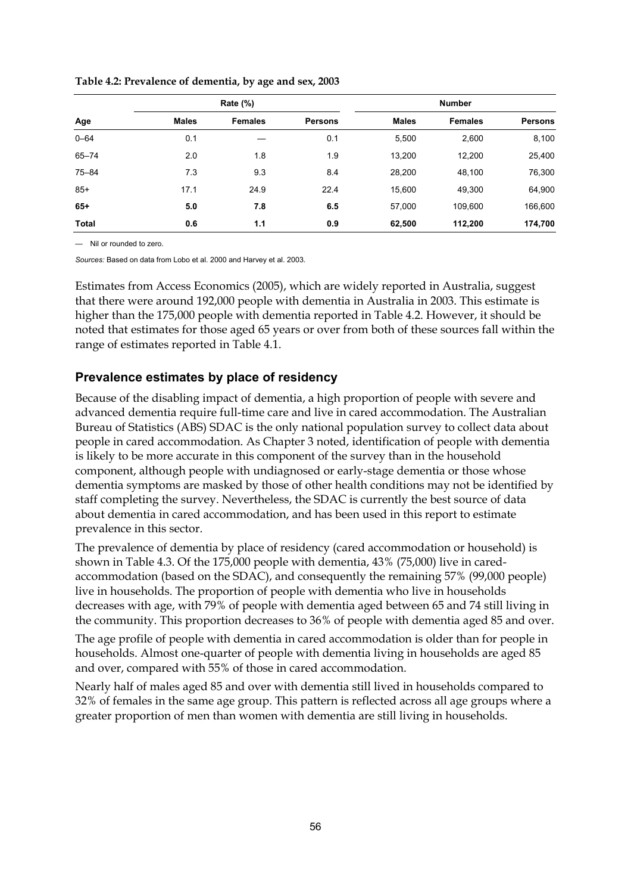| Age          |              | Rate $(\%)$    |                | <b>Number</b> |                |         |  |
|--------------|--------------|----------------|----------------|---------------|----------------|---------|--|
|              | <b>Males</b> | <b>Females</b> | <b>Persons</b> | <b>Males</b>  | <b>Females</b> | Persons |  |
| $0 - 64$     | 0.1          |                | 0.1            | 5,500         | 2,600          | 8,100   |  |
| $65 - 74$    | 2.0          | 1.8            | 1.9            | 13,200        | 12,200         | 25,400  |  |
| $75 - 84$    | 7.3          | 9.3            | 8.4            | 28,200        | 48,100         | 76,300  |  |
| $85+$        | 17.1         | 24.9           | 22.4           | 15,600        | 49,300         | 64,900  |  |
| $65+$        | 5.0          | 7.8            | 6.5            | 57.000        | 109.600        | 166,600 |  |
| <b>Total</b> | 0.6          | 1.1            | 0.9            | 62,500        | 112,200        | 174,700 |  |

**Table 4.2: Prevalence of dementia, by age and sex, 2003** 

— Nil or rounded to zero.

*Sources:* Based on data from Lobo et al. 2000 and Harvey et al. 2003.

Estimates from Access Economics (2005), which are widely reported in Australia, suggest that there were around 192,000 people with dementia in Australia in 2003. This estimate is higher than the 175,000 people with dementia reported in Table 4.2. However, it should be noted that estimates for those aged 65 years or over from both of these sources fall within the range of estimates reported in Table 4.1.

#### **Prevalence estimates by place of residency**

Because of the disabling impact of dementia, a high proportion of people with severe and advanced dementia require full-time care and live in cared accommodation. The Australian Bureau of Statistics (ABS) SDAC is the only national population survey to collect data about people in cared accommodation. As Chapter 3 noted, identification of people with dementia is likely to be more accurate in this component of the survey than in the household component, although people with undiagnosed or early-stage dementia or those whose dementia symptoms are masked by those of other health conditions may not be identified by staff completing the survey. Nevertheless, the SDAC is currently the best source of data about dementia in cared accommodation, and has been used in this report to estimate prevalence in this sector.

The prevalence of dementia by place of residency (cared accommodation or household) is shown in Table 4.3. Of the 175,000 people with dementia, 43% (75,000) live in caredaccommodation (based on the SDAC), and consequently the remaining 57% (99,000 people) live in households. The proportion of people with dementia who live in households decreases with age, with 79% of people with dementia aged between 65 and 74 still living in the community. This proportion decreases to 36% of people with dementia aged 85 and over.

The age profile of people with dementia in cared accommodation is older than for people in households. Almost one-quarter of people with dementia living in households are aged 85 and over, compared with 55% of those in cared accommodation.

Nearly half of males aged 85 and over with dementia still lived in households compared to 32% of females in the same age group. This pattern is reflected across all age groups where a greater proportion of men than women with dementia are still living in households.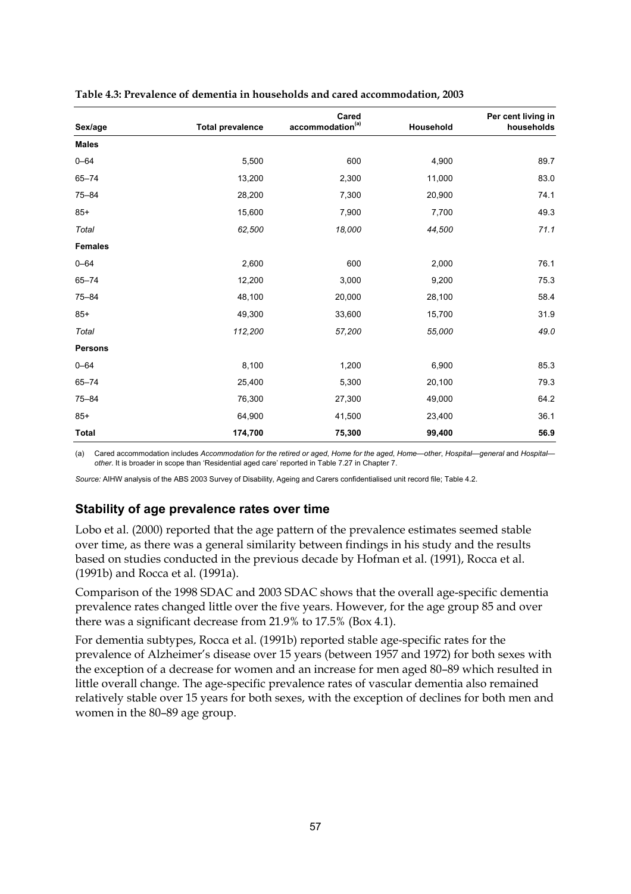|                |                         | Cared                        |           | Per cent living in |
|----------------|-------------------------|------------------------------|-----------|--------------------|
| Sex/age        | <b>Total prevalence</b> | accommodation <sup>(a)</sup> | Household | households         |
| <b>Males</b>   |                         |                              |           |                    |
| $0 - 64$       | 5,500                   | 600                          | 4,900     | 89.7               |
| $65 - 74$      | 13,200                  | 2,300                        | 11,000    | 83.0               |
| $75 - 84$      | 28,200                  | 7,300                        | 20,900    | 74.1               |
| $85+$          | 15,600                  | 7,900                        | 7,700     | 49.3               |
| Total          | 62,500                  | 18,000                       | 44,500    | 71.1               |
| <b>Females</b> |                         |                              |           |                    |
| $0 - 64$       | 2,600                   | 600                          | 2,000     | 76.1               |
| $65 - 74$      | 12,200                  | 3,000                        | 9,200     | 75.3               |
| $75 - 84$      | 48,100                  | 20,000                       | 28,100    | 58.4               |
| $85+$          | 49,300                  | 33,600                       | 15,700    | 31.9               |
| Total          | 112,200                 | 57,200                       | 55,000    | 49.0               |
| <b>Persons</b> |                         |                              |           |                    |
| $0 - 64$       | 8,100                   | 1,200                        | 6,900     | 85.3               |
| $65 - 74$      | 25,400                  | 5,300                        | 20,100    | 79.3               |
| $75 - 84$      | 76,300                  | 27,300                       | 49,000    | 64.2               |
| $85+$          | 64,900                  | 41,500                       | 23,400    | 36.1               |
| <b>Total</b>   | 174,700                 | 75,300                       | 99,400    | 56.9               |

| Table 4.3: Prevalence of dementia in households and cared accommodation, 2003 |  |  |  |  |
|-------------------------------------------------------------------------------|--|--|--|--|
|-------------------------------------------------------------------------------|--|--|--|--|

(a) Cared accommodation includes *Accommodation for the retired or aged*, *Home for the aged*, *Home—other*, *Hospital—general* and *Hospital other*. It is broader in scope than 'Residential aged care' reported in Table 7.27 in Chapter 7.

*Source:* AIHW analysis of the ABS 2003 Survey of Disability, Ageing and Carers confidentialised unit record file; Table 4.2.

#### **Stability of age prevalence rates over time**

Lobo et al. (2000) reported that the age pattern of the prevalence estimates seemed stable over time, as there was a general similarity between findings in his study and the results based on studies conducted in the previous decade by Hofman et al. (1991), Rocca et al. (1991b) and Rocca et al. (1991a).

Comparison of the 1998 SDAC and 2003 SDAC shows that the overall age-specific dementia prevalence rates changed little over the five years. However, for the age group 85 and over there was a significant decrease from 21.9% to 17.5% (Box 4.1).

For dementia subtypes, Rocca et al. (1991b) reported stable age-specific rates for the prevalence of Alzheimer's disease over 15 years (between 1957 and 1972) for both sexes with the exception of a decrease for women and an increase for men aged 80–89 which resulted in little overall change. The age-specific prevalence rates of vascular dementia also remained relatively stable over 15 years for both sexes, with the exception of declines for both men and women in the 80–89 age group.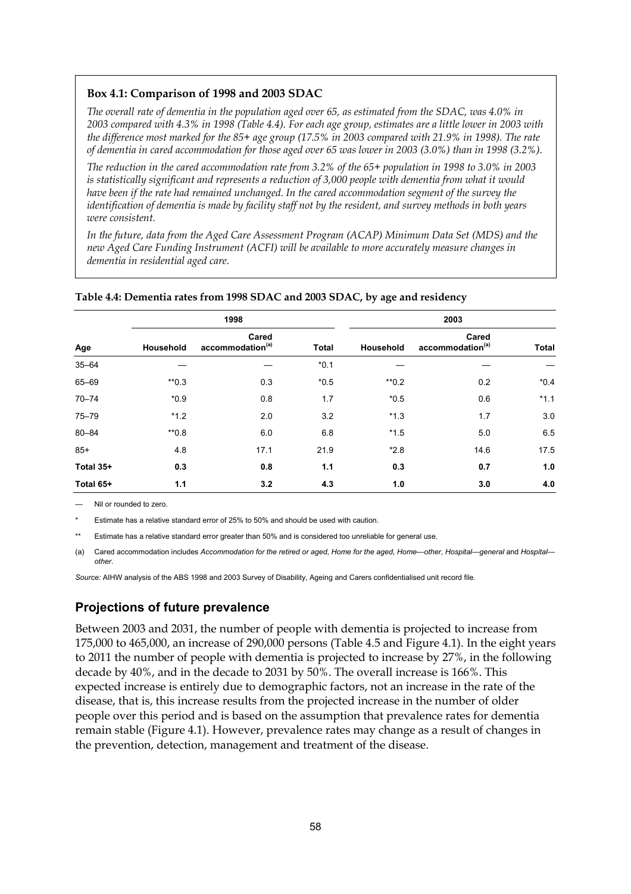#### **Box 4.1: Comparison of 1998 and 2003 SDAC**

*The overall rate of dementia in the population aged over 65, as estimated from the SDAC, was 4.0% in 2003 compared with 4.3% in 1998 (Table 4.4). For each age group, estimates are a little lower in 2003 with the difference most marked for the 85+ age group (17.5% in 2003 compared with 21.9% in 1998). The rate of dementia in cared accommodation for those aged over 65 was lower in 2003 (3.0%) than in 1998 (3.2%).* 

*The reduction in the cared accommodation rate from 3.2% of the 65+ population in 1998 to 3.0% in 2003 is statistically significant and represents a reduction of 3,000 people with dementia from what it would have been if the rate had remained unchanged. In the cared accommodation segment of the survey the identification of dementia is made by facility staff not by the resident, and survey methods in both years were consistent.* 

*In the future, data from the Aged Care Assessment Program (ACAP) Minimum Data Set (MDS) and the new Aged Care Funding Instrument (ACFI) will be available to more accurately measure changes in dementia in residential aged care.* 

|           |           | 1998                                  |              | 2003               |                                       |              |  |
|-----------|-----------|---------------------------------------|--------------|--------------------|---------------------------------------|--------------|--|
| Age       | Household | Cared<br>accommodation <sup>(a)</sup> | <b>Total</b> | Household          | Cared<br>accommodation <sup>(a)</sup> | <b>Total</b> |  |
| $35 - 64$ |           |                                       | $*0.1$       |                    |                                       |              |  |
| 65-69     | $*$ *0.3  | 0.3                                   | $*0.5$       | $*$ <sup>0.2</sup> | 0.2                                   | $*0.4$       |  |
| $70 - 74$ | $*0.9$    | 0.8                                   | 1.7          | $*0.5$             | 0.6                                   | $*1.1$       |  |
| $75 - 79$ | $*1.2$    | 2.0                                   | 3.2          | $*1.3$             | 1.7                                   | 3.0          |  |
| $80 - 84$ | $*0.8$    | 6.0                                   | 6.8          | $*1.5$             | 5.0                                   | 6.5          |  |
| $85+$     | 4.8       | 17.1                                  | 21.9         | $*2.8$             | 14.6                                  | 17.5         |  |
| Total 35+ | 0.3       | 0.8                                   | 1.1          | 0.3                | 0.7                                   | 1.0          |  |
| Total 65+ | 1.1       | 3.2                                   | 4.3          | 1.0                | 3.0                                   | 4.0          |  |

#### **Table 4.4: Dementia rates from 1998 SDAC and 2003 SDAC, by age and residency**

— Nil or rounded to zero.

Estimate has a relative standard error of 25% to 50% and should be used with caution.

Estimate has a relative standard error greater than 50% and is considered too unreliable for general use.

(a) Cared accommodation includes *Accommodation for the retired or aged*, *Home for the aged*, *Home—other*, *Hospital—general* and *Hospital other*.

*Source:* AIHW analysis of the ABS 1998 and 2003 Survey of Disability, Ageing and Carers confidentialised unit record file.

#### **Projections of future prevalence**

Between 2003 and 2031, the number of people with dementia is projected to increase from 175,000 to 465,000, an increase of 290,000 persons (Table 4.5 and Figure 4.1). In the eight years to 2011 the number of people with dementia is projected to increase by 27%, in the following decade by 40%, and in the decade to 2031 by 50%. The overall increase is 166%. This expected increase is entirely due to demographic factors, not an increase in the rate of the disease, that is, this increase results from the projected increase in the number of older people over this period and is based on the assumption that prevalence rates for dementia remain stable (Figure 4.1). However, prevalence rates may change as a result of changes in the prevention, detection, management and treatment of the disease.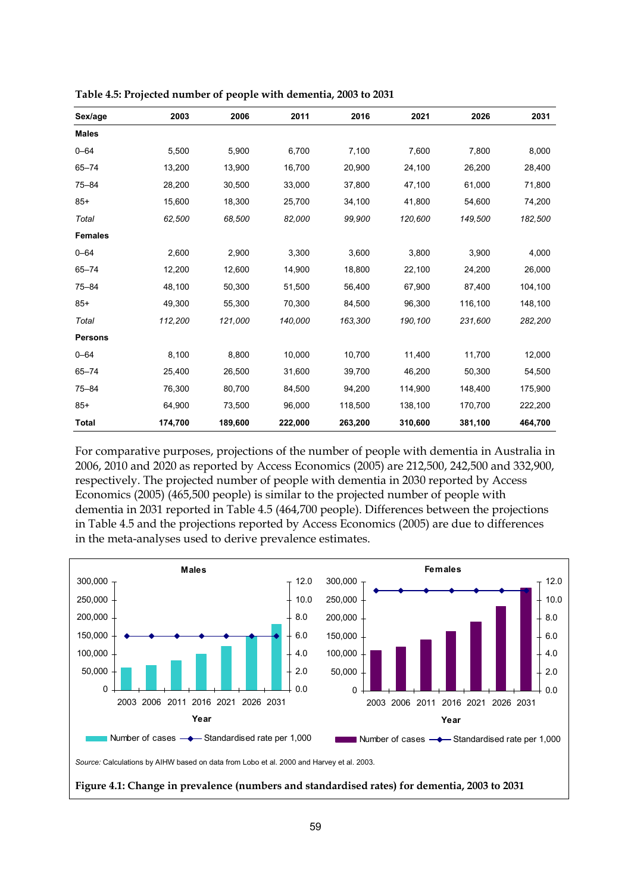| Sex/age        | 2003    | 2006    | 2011    | 2016    | 2021    | 2026    | 2031    |
|----------------|---------|---------|---------|---------|---------|---------|---------|
| <b>Males</b>   |         |         |         |         |         |         |         |
| $0 - 64$       | 5,500   | 5,900   | 6,700   | 7,100   | 7,600   | 7,800   | 8,000   |
| $65 - 74$      | 13,200  | 13,900  | 16,700  | 20,900  | 24,100  | 26,200  | 28,400  |
| $75 - 84$      | 28,200  | 30,500  | 33,000  | 37,800  | 47,100  | 61,000  | 71,800  |
| $85+$          | 15,600  | 18,300  | 25,700  | 34,100  | 41,800  | 54,600  | 74,200  |
| Total          | 62,500  | 68,500  | 82,000  | 99,900  | 120,600 | 149,500 | 182,500 |
| <b>Females</b> |         |         |         |         |         |         |         |
| $0 - 64$       | 2,600   | 2,900   | 3,300   | 3,600   | 3,800   | 3,900   | 4,000   |
| $65 - 74$      | 12,200  | 12,600  | 14,900  | 18,800  | 22,100  | 24,200  | 26,000  |
| $75 - 84$      | 48,100  | 50,300  | 51,500  | 56,400  | 67,900  | 87,400  | 104,100 |
| $85+$          | 49,300  | 55,300  | 70,300  | 84,500  | 96,300  | 116,100 | 148,100 |
| Total          | 112,200 | 121,000 | 140,000 | 163,300 | 190,100 | 231,600 | 282,200 |
| <b>Persons</b> |         |         |         |         |         |         |         |
| $0 - 64$       | 8,100   | 8,800   | 10,000  | 10,700  | 11,400  | 11,700  | 12,000  |
| $65 - 74$      | 25,400  | 26,500  | 31,600  | 39,700  | 46,200  | 50,300  | 54,500  |
| $75 - 84$      | 76,300  | 80,700  | 84,500  | 94,200  | 114,900 | 148,400 | 175,900 |
| $85+$          | 64,900  | 73,500  | 96,000  | 118,500 | 138,100 | 170,700 | 222,200 |
| <b>Total</b>   | 174,700 | 189,600 | 222,000 | 263,200 | 310,600 | 381,100 | 464,700 |

**Table 4.5: Projected number of people with dementia, 2003 to 2031** 

For comparative purposes, projections of the number of people with dementia in Australia in 2006, 2010 and 2020 as reported by Access Economics (2005) are 212,500, 242,500 and 332,900, respectively. The projected number of people with dementia in 2030 reported by Access Economics (2005) (465,500 people) is similar to the projected number of people with dementia in 2031 reported in Table 4.5 (464,700 people). Differences between the projections in Table 4.5 and the projections reported by Access Economics (2005) are due to differences in the meta-analyses used to derive prevalence estimates.

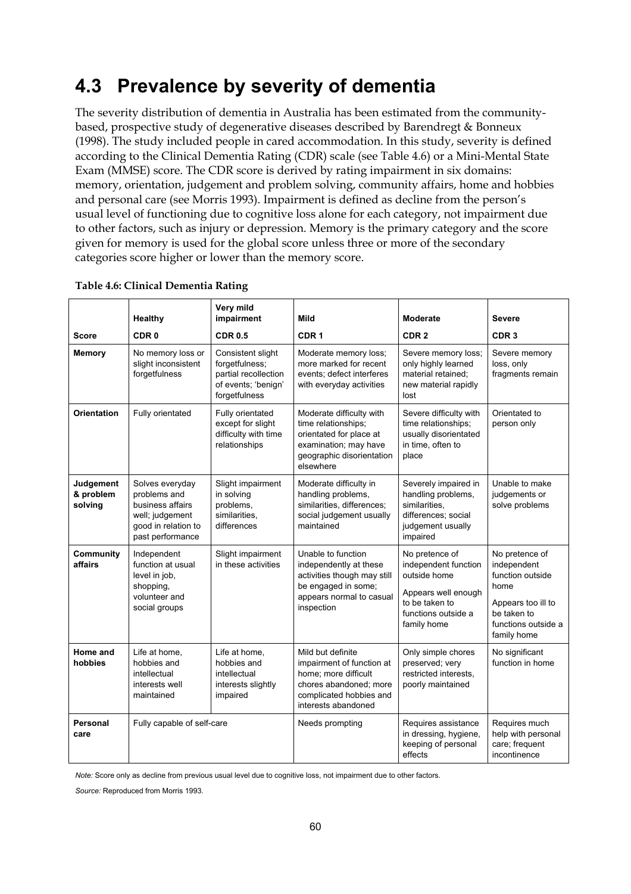# **4.3 Prevalence by severity of dementia**

The severity distribution of dementia in Australia has been estimated from the communitybased, prospective study of degenerative diseases described by Barendregt & Bonneux (1998). The study included people in cared accommodation. In this study, severity is defined according to the Clinical Dementia Rating (CDR) scale (see Table 4.6) or a Mini-Mental State Exam (MMSE) score. The CDR score is derived by rating impairment in six domains: memory, orientation, judgement and problem solving, community affairs, home and hobbies and personal care (see Morris 1993). Impairment is defined as decline from the person's usual level of functioning due to cognitive loss alone for each category, not impairment due to other factors, such as injury or depression. Memory is the primary category and the score given for memory is used for the global score unless three or more of the secondary categories score higher or lower than the memory score.

| <b>Score</b>                      | Healthy<br>CDR <sub>0</sub>                                                                                       | Very mild<br>impairment<br><b>CDR 0.5</b>                                                           | Mild<br>CDR <sub>1</sub>                                                                                                                           | <b>Moderate</b><br>CDR <sub>2</sub>                                                                                                   | <b>Severe</b><br>CDR <sub>3</sub>                                                                                                    |
|-----------------------------------|-------------------------------------------------------------------------------------------------------------------|-----------------------------------------------------------------------------------------------------|----------------------------------------------------------------------------------------------------------------------------------------------------|---------------------------------------------------------------------------------------------------------------------------------------|--------------------------------------------------------------------------------------------------------------------------------------|
| <b>Memory</b>                     | No memory loss or<br>slight inconsistent<br>forgetfulness                                                         | Consistent slight<br>forgetfulness:<br>partial recollection<br>of events; 'benign'<br>forgetfulness | Moderate memory loss;<br>more marked for recent<br>events: defect interferes<br>with everyday activities                                           | Severe memory loss;<br>only highly learned<br>material retained;<br>new material rapidly<br>lost                                      | Severe memory<br>loss, only<br>fragments remain                                                                                      |
| <b>Orientation</b>                | Fully orientated                                                                                                  | Fully orientated<br>except for slight<br>difficulty with time<br>relationships                      | Moderate difficulty with<br>time relationships;<br>orientated for place at<br>examination; may have<br>geographic disorientation<br>elsewhere      | Severe difficulty with<br>time relationships;<br>usually disorientated<br>in time, often to<br>place                                  | Orientated to<br>person only                                                                                                         |
| Judgement<br>& problem<br>solving | Solves everyday<br>problems and<br>business affairs<br>well; judgement<br>good in relation to<br>past performance | Slight impairment<br>in solving<br>problems,<br>similarities.<br>differences                        | Moderate difficulty in<br>handling problems,<br>similarities, differences;<br>social judgement usually<br>maintained                               | Severely impaired in<br>handling problems,<br>similarities.<br>differences; social<br>judgement usually<br>impaired                   | Unable to make<br>judgements or<br>solve problems                                                                                    |
| Community<br>affairs              | Independent<br>function at usual<br>level in job,<br>shopping,<br>volunteer and<br>social groups                  | Slight impairment<br>in these activities                                                            | Unable to function<br>independently at these<br>activities though may still<br>be engaged in some;<br>appears normal to casual<br>inspection       | No pretence of<br>independent function<br>outside home<br>Appears well enough<br>to be taken to<br>functions outside a<br>family home | No pretence of<br>independent<br>function outside<br>home<br>Appears too ill to<br>be taken to<br>functions outside a<br>family home |
| Home and<br>hobbies               | Life at home,<br>hobbies and<br>intellectual<br>interests well<br>maintained                                      | Life at home.<br>hobbies and<br>intellectual<br>interests slightly<br>impaired                      | Mild but definite<br>impairment of function at<br>home; more difficult<br>chores abandoned; more<br>complicated hobbies and<br>interests abandoned | Only simple chores<br>preserved; very<br>restricted interests.<br>poorly maintained                                                   | No significant<br>function in home                                                                                                   |
| <b>Personal</b><br>care           | Fully capable of self-care                                                                                        |                                                                                                     | Needs prompting                                                                                                                                    | Requires assistance<br>in dressing, hygiene,<br>keeping of personal<br>effects                                                        | Requires much<br>help with personal<br>care; frequent<br>incontinence                                                                |

#### **Table 4.6: Clinical Dementia Rating**

*Note:* Score only as decline from previous usual level due to cognitive loss, not impairment due to other factors.

*Source:* Reproduced from Morris 1993.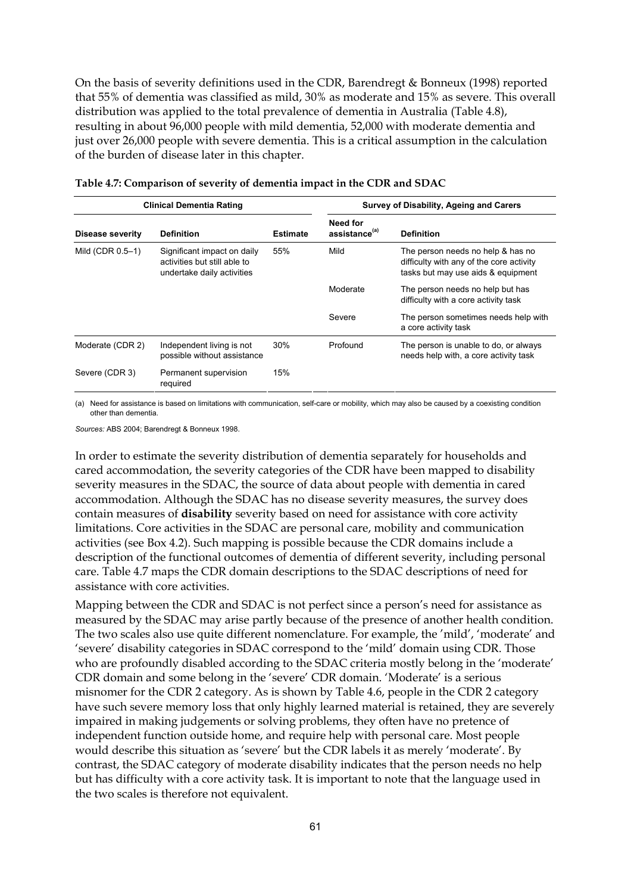On the basis of severity definitions used in the CDR, Barendregt & Bonneux (1998) reported that 55% of dementia was classified as mild, 30% as moderate and 15% as severe. This overall distribution was applied to the total prevalence of dementia in Australia (Table 4.8), resulting in about 96,000 people with mild dementia, 52,000 with moderate dementia and just over 26,000 people with severe dementia. This is a critical assumption in the calculation of the burden of disease later in this chapter.

|                  | <b>Clinical Dementia Rating</b>                                                           |                 | Survey of Disability, Ageing and Carers |                                                                                                                     |  |  |
|------------------|-------------------------------------------------------------------------------------------|-----------------|-----------------------------------------|---------------------------------------------------------------------------------------------------------------------|--|--|
| Disease severity | <b>Definition</b>                                                                         | <b>Estimate</b> | Need for<br>assistance <sup>(a)</sup>   | <b>Definition</b>                                                                                                   |  |  |
| Mild (CDR 0.5-1) | Significant impact on daily<br>activities but still able to<br>undertake daily activities | 55%             | Mild                                    | The person needs no help & has no<br>difficulty with any of the core activity<br>tasks but may use aids & equipment |  |  |
|                  |                                                                                           |                 | Moderate                                | The person needs no help but has<br>difficulty with a core activity task                                            |  |  |
|                  |                                                                                           |                 | Severe                                  | The person sometimes needs help with<br>a core activity task                                                        |  |  |
| Moderate (CDR 2) | Independent living is not<br>possible without assistance                                  | 30%             | Profound                                | The person is unable to do, or always<br>needs help with, a core activity task                                      |  |  |
| Severe (CDR 3)   | Permanent supervision<br>required                                                         | 15%             |                                         |                                                                                                                     |  |  |

|  | Table 4.7: Comparison of severity of dementia impact in the CDR and SDAC |  |  |
|--|--------------------------------------------------------------------------|--|--|
|  |                                                                          |  |  |

(a) Need for assistance is based on limitations with communication, self-care or mobility, which may also be caused by a coexisting condition other than dementia.

*Sources:* ABS 2004; Barendregt & Bonneux 1998.

In order to estimate the severity distribution of dementia separately for households and cared accommodation, the severity categories of the CDR have been mapped to disability severity measures in the SDAC, the source of data about people with dementia in cared accommodation. Although the SDAC has no disease severity measures, the survey does contain measures of **disability** severity based on need for assistance with core activity limitations. Core activities in the SDAC are personal care, mobility and communication activities (see Box 4.2). Such mapping is possible because the CDR domains include a description of the functional outcomes of dementia of different severity, including personal care. Table 4.7 maps the CDR domain descriptions to the SDAC descriptions of need for assistance with core activities.

Mapping between the CDR and SDAC is not perfect since a person's need for assistance as measured by the SDAC may arise partly because of the presence of another health condition. The two scales also use quite different nomenclature. For example, the 'mild', 'moderate' and 'severe' disability categories in SDAC correspond to the 'mild' domain using CDR. Those who are profoundly disabled according to the SDAC criteria mostly belong in the 'moderate' CDR domain and some belong in the 'severe' CDR domain. 'Moderate' is a serious misnomer for the CDR 2 category. As is shown by Table 4.6, people in the CDR 2 category have such severe memory loss that only highly learned material is retained, they are severely impaired in making judgements or solving problems, they often have no pretence of independent function outside home, and require help with personal care. Most people would describe this situation as 'severe' but the CDR labels it as merely 'moderate'. By contrast, the SDAC category of moderate disability indicates that the person needs no help but has difficulty with a core activity task. It is important to note that the language used in the two scales is therefore not equivalent.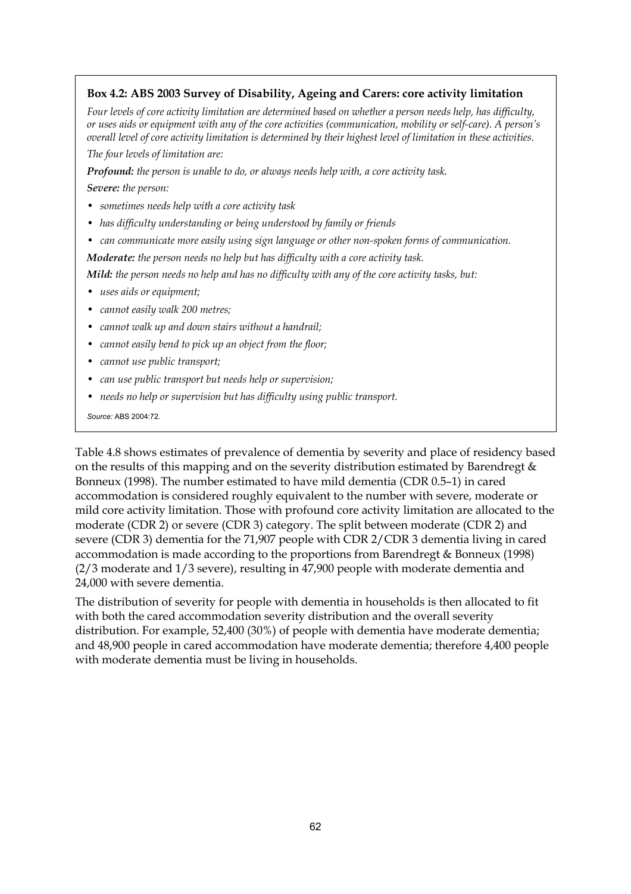#### **Box 4.2: ABS 2003 Survey of Disability, Ageing and Carers: core activity limitation**

*Four levels of core activity limitation are determined based on whether a person needs help, has difficulty, or uses aids or equipment with any of the core activities (communication, mobility or self-care). A person's overall level of core activity limitation is determined by their highest level of limitation in these activities. The four levels of limitation are:* 

*Profound: the person is unable to do, or always needs help with, a core activity task.* 

*Severe: the person:* 

- *sometimes needs help with a core activity task*
- *has difficulty understanding or being understood by family or friends*
- *can communicate more easily using sign language or other non-spoken forms of communication.*
- *Moderate: the person needs no help but has difficulty with a core activity task.*

*Mild: the person needs no help and has no difficulty with any of the core activity tasks, but:* 

- *uses aids or equipment;*
- *cannot easily walk 200 metres;*
- *cannot walk up and down stairs without a handrail;*
- *cannot easily bend to pick up an object from the floor;*
- *cannot use public transport;*
- *can use public transport but needs help or supervision;*
- *needs no help or supervision but has difficulty using public transport.*

*Source:* ABS 2004:72.

Table 4.8 shows estimates of prevalence of dementia by severity and place of residency based on the results of this mapping and on the severity distribution estimated by Barendregt & Bonneux (1998). The number estimated to have mild dementia (CDR 0.5–1) in cared accommodation is considered roughly equivalent to the number with severe, moderate or mild core activity limitation. Those with profound core activity limitation are allocated to the moderate (CDR 2) or severe (CDR 3) category. The split between moderate (CDR 2) and severe (CDR 3) dementia for the 71,907 people with CDR 2/CDR 3 dementia living in cared accommodation is made according to the proportions from Barendregt & Bonneux (1998) (2/3 moderate and 1/3 severe), resulting in 47,900 people with moderate dementia and 24,000 with severe dementia.

The distribution of severity for people with dementia in households is then allocated to fit with both the cared accommodation severity distribution and the overall severity distribution. For example, 52,400 (30%) of people with dementia have moderate dementia; and 48,900 people in cared accommodation have moderate dementia; therefore 4,400 people with moderate dementia must be living in households.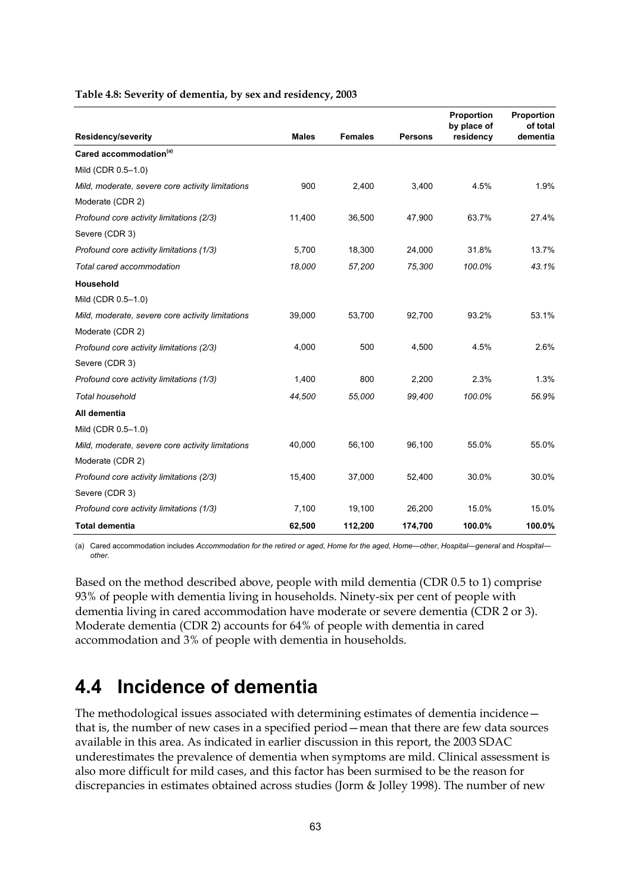|                                                  |              |                |                | Proportion<br>by place of | Proportion<br>of total |
|--------------------------------------------------|--------------|----------------|----------------|---------------------------|------------------------|
| <b>Residency/severity</b>                        | <b>Males</b> | <b>Females</b> | <b>Persons</b> | residency                 | dementia               |
| Cared accommodation <sup>(a)</sup>               |              |                |                |                           |                        |
| Mild (CDR 0.5-1.0)                               |              |                |                |                           |                        |
| Mild, moderate, severe core activity limitations | 900          | 2,400          | 3,400          | 4.5%                      | 1.9%                   |
| Moderate (CDR 2)                                 |              |                |                |                           |                        |
| Profound core activity limitations (2/3)         | 11,400       | 36,500         | 47,900         | 63.7%                     | 27.4%                  |
| Severe (CDR 3)                                   |              |                |                |                           |                        |
| Profound core activity limitations (1/3)         | 5,700        | 18,300         | 24,000         | 31.8%                     | 13.7%                  |
| Total cared accommodation                        | 18,000       | 57,200         | 75,300         | 100.0%                    | 43.1%                  |
| Household                                        |              |                |                |                           |                        |
| Mild (CDR 0.5-1.0)                               |              |                |                |                           |                        |
| Mild, moderate, severe core activity limitations | 39,000       | 53,700         | 92,700         | 93.2%                     | 53.1%                  |
| Moderate (CDR 2)                                 |              |                |                |                           |                        |
| Profound core activity limitations (2/3)         | 4,000        | 500            | 4,500          | 4.5%                      | 2.6%                   |
| Severe (CDR 3)                                   |              |                |                |                           |                        |
| Profound core activity limitations (1/3)         | 1,400        | 800            | 2,200          | 2.3%                      | 1.3%                   |
| <b>Total household</b>                           | 44,500       | 55,000         | 99,400         | 100.0%                    | 56.9%                  |
| All dementia                                     |              |                |                |                           |                        |
| Mild (CDR 0.5-1.0)                               |              |                |                |                           |                        |
| Mild, moderate, severe core activity limitations | 40,000       | 56,100         | 96,100         | 55.0%                     | 55.0%                  |
| Moderate (CDR 2)                                 |              |                |                |                           |                        |
| Profound core activity limitations (2/3)         | 15,400       | 37,000         | 52,400         | 30.0%                     | 30.0%                  |
| Severe (CDR 3)                                   |              |                |                |                           |                        |
| Profound core activity limitations (1/3)         | 7,100        | 19,100         | 26,200         | 15.0%                     | 15.0%                  |
| <b>Total dementia</b>                            | 62,500       | 112,200        | 174,700        | 100.0%                    | 100.0%                 |

#### **Table 4.8: Severity of dementia, by sex and residency, 2003**

(a) Cared accommodation includes *Accommodation for the retired or aged*, *Home for the aged*, *Home—other*, *Hospital—general* and *Hospital other*.

Based on the method described above, people with mild dementia (CDR 0.5 to 1) comprise 93% of people with dementia living in households. Ninety-six per cent of people with dementia living in cared accommodation have moderate or severe dementia (CDR 2 or 3). Moderate dementia (CDR 2) accounts for 64% of people with dementia in cared accommodation and 3% of people with dementia in households.

## **4.4 Incidence of dementia**

The methodological issues associated with determining estimates of dementia incidence that is, the number of new cases in a specified period—mean that there are few data sources available in this area. As indicated in earlier discussion in this report, the 2003 SDAC underestimates the prevalence of dementia when symptoms are mild. Clinical assessment is also more difficult for mild cases, and this factor has been surmised to be the reason for discrepancies in estimates obtained across studies (Jorm & Jolley 1998). The number of new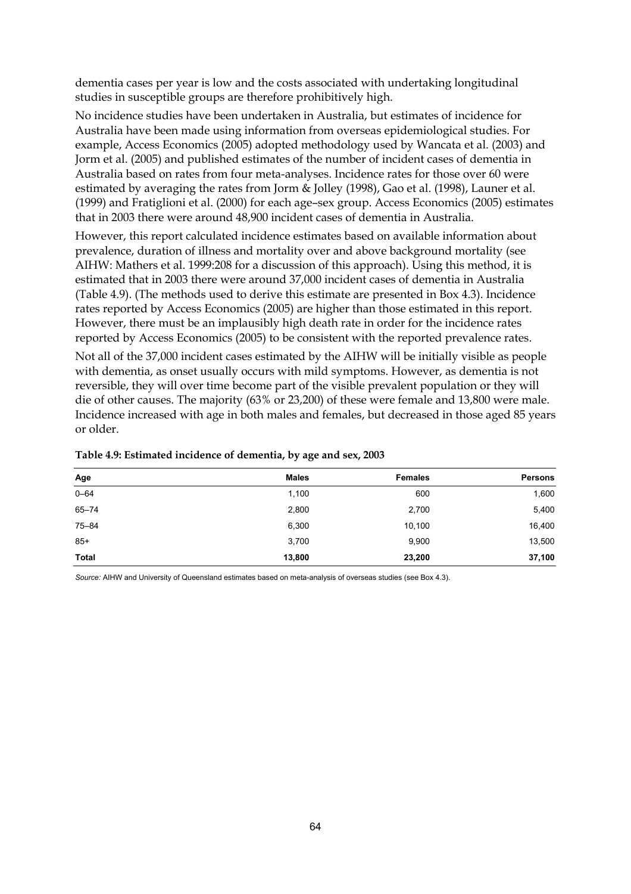dementia cases per year is low and the costs associated with undertaking longitudinal studies in susceptible groups are therefore prohibitively high.

No incidence studies have been undertaken in Australia, but estimates of incidence for Australia have been made using information from overseas epidemiological studies. For example, Access Economics (2005) adopted methodology used by Wancata et al. (2003) and Jorm et al. (2005) and published estimates of the number of incident cases of dementia in Australia based on rates from four meta-analyses. Incidence rates for those over 60 were estimated by averaging the rates from Jorm & Jolley (1998), Gao et al. (1998), Launer et al. (1999) and Fratiglioni et al. (2000) for each age–sex group. Access Economics (2005) estimates that in 2003 there were around 48,900 incident cases of dementia in Australia.

However, this report calculated incidence estimates based on available information about prevalence, duration of illness and mortality over and above background mortality (see AIHW: Mathers et al. 1999:208 for a discussion of this approach). Using this method, it is estimated that in 2003 there were around 37,000 incident cases of dementia in Australia (Table 4.9). (The methods used to derive this estimate are presented in Box 4.3). Incidence rates reported by Access Economics (2005) are higher than those estimated in this report. However, there must be an implausibly high death rate in order for the incidence rates reported by Access Economics (2005) to be consistent with the reported prevalence rates.

Not all of the 37,000 incident cases estimated by the AIHW will be initially visible as people with dementia, as onset usually occurs with mild symptoms. However, as dementia is not reversible, they will over time become part of the visible prevalent population or they will die of other causes. The majority (63% or 23,200) of these were female and 13,800 were male. Incidence increased with age in both males and females, but decreased in those aged 85 years or older.

| Age       | <b>Males</b> | <b>Females</b> | <b>Persons</b> |
|-----------|--------------|----------------|----------------|
| $0 - 64$  | 1,100        | 600            | 1,600          |
| $65 - 74$ | 2,800        | 2,700          | 5,400          |
| $75 - 84$ | 6,300        | 10,100         | 16,400         |
| $85+$     | 3,700        | 9,900          | 13,500         |
| Total     | 13,800       | 23,200         | 37,100         |

#### **Table 4.9: Estimated incidence of dementia, by age and sex, 2003**

*Source:* AIHW and University of Queensland estimates based on meta-analysis of overseas studies (see Box 4.3).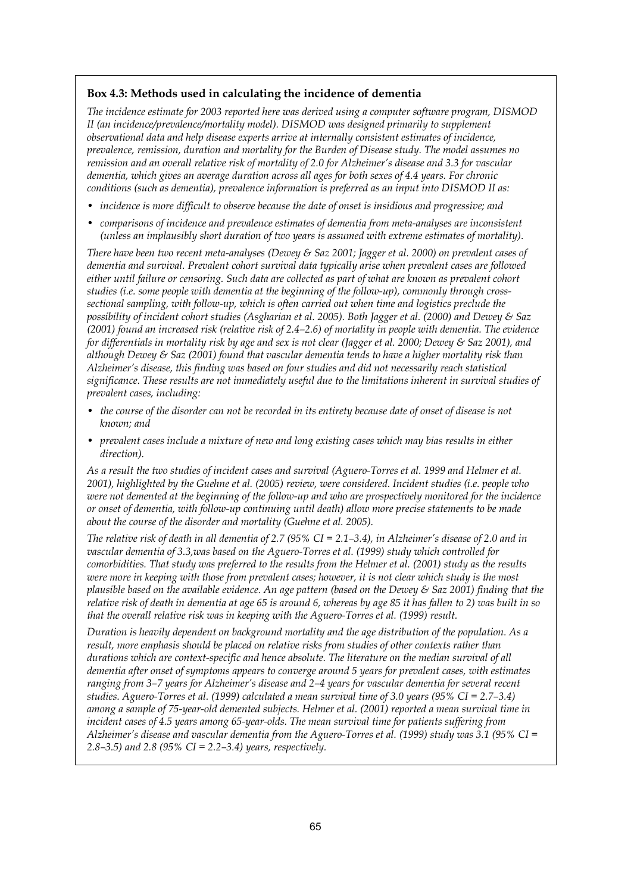#### **Box 4.3: Methods used in calculating the incidence of dementia**

*The incidence estimate for 2003 reported here was derived using a computer software program, DISMOD II (an incidence/prevalence/mortality model). DISMOD was designed primarily to supplement observational data and help disease experts arrive at internally consistent estimates of incidence, prevalence, remission, duration and mortality for the Burden of Disease study. The model assumes no remission and an overall relative risk of mortality of 2.0 for Alzheimer's disease and 3.3 for vascular dementia, which gives an average duration across all ages for both sexes of 4.4 years. For chronic conditions (such as dementia), prevalence information is preferred as an input into DISMOD II as:* 

- *incidence is more difficult to observe because the date of onset is insidious and progressive; and*
- *comparisons of incidence and prevalence estimates of dementia from meta-analyses are inconsistent (unless an implausibly short duration of two years is assumed with extreme estimates of mortality).*

*There have been two recent meta-analyses (Dewey & Saz 2001; Jagger et al. 2000) on prevalent cases of dementia and survival. Prevalent cohort survival data typically arise when prevalent cases are followed either until failure or censoring. Such data are collected as part of what are known as prevalent cohort studies (i.e. some people with dementia at the beginning of the follow-up), commonly through crosssectional sampling, with follow-up, which is often carried out when time and logistics preclude the possibility of incident cohort studies (Asgharian et al. 2005). Both Jagger et al. (2000) and Dewey & Saz (2001) found an increased risk (relative risk of 2.4–2.6) of mortality in people with dementia. The evidence for differentials in mortality risk by age and sex is not clear (Jagger et al. 2000; Dewey & Saz 2001), and although Dewey & Saz (2001) found that vascular dementia tends to have a higher mortality risk than Alzheimer's disease, this finding was based on four studies and did not necessarily reach statistical significance. These results are not immediately useful due to the limitations inherent in survival studies of prevalent cases, including:* 

- *the course of the disorder can not be recorded in its entirety because date of onset of disease is not known; and*
- *prevalent cases include a mixture of new and long existing cases which may bias results in either direction).*

*As a result the two studies of incident cases and survival (Aguero-Torres et al. 1999 and Helmer et al. 2001), highlighted by the Guehne et al. (2005) review, were considered. Incident studies (i.e. people who were not demented at the beginning of the follow-up and who are prospectively monitored for the incidence or onset of dementia, with follow-up continuing until death) allow more precise statements to be made about the course of the disorder and mortality (Guehne et al. 2005).* 

*The relative risk of death in all dementia of 2.7 (95% CI = 2.1–3.4), in Alzheimer's disease of 2.0 and in vascular dementia of 3.3,was based on the Aguero-Torres et al. (1999) study which controlled for comorbidities. That study was preferred to the results from the Helmer et al. (2001) study as the results were more in keeping with those from prevalent cases; however, it is not clear which study is the most plausible based on the available evidence. An age pattern (based on the Dewey & Saz 2001) finding that the relative risk of death in dementia at age 65 is around 6, whereas by age 85 it has fallen to 2) was built in so that the overall relative risk was in keeping with the Aguero-Torres et al. (1999) result.* 

*Duration is heavily dependent on background mortality and the age distribution of the population. As a result, more emphasis should be placed on relative risks from studies of other contexts rather than durations which are context-specific and hence absolute. The literature on the median survival of all dementia after onset of symptoms appears to converge around 5 years for prevalent cases, with estimates ranging from 3–7 years for Alzheimer's disease and 2–4 years for vascular dementia for several recent studies. Aguero-Torres et al. (1999) calculated a mean survival time of 3.0 years (95% CI = 2.7–3.4) among a sample of 75-year-old demented subjects. Helmer et al. (2001) reported a mean survival time in incident cases of 4.5 years among 65-year-olds. The mean survival time for patients suffering from Alzheimer's disease and vascular dementia from the Aguero-Torres et al. (1999) study was 3.1 (95% CI = 2.8–3.5) and 2.8 (95% CI = 2.2–3.4) years, respectively.*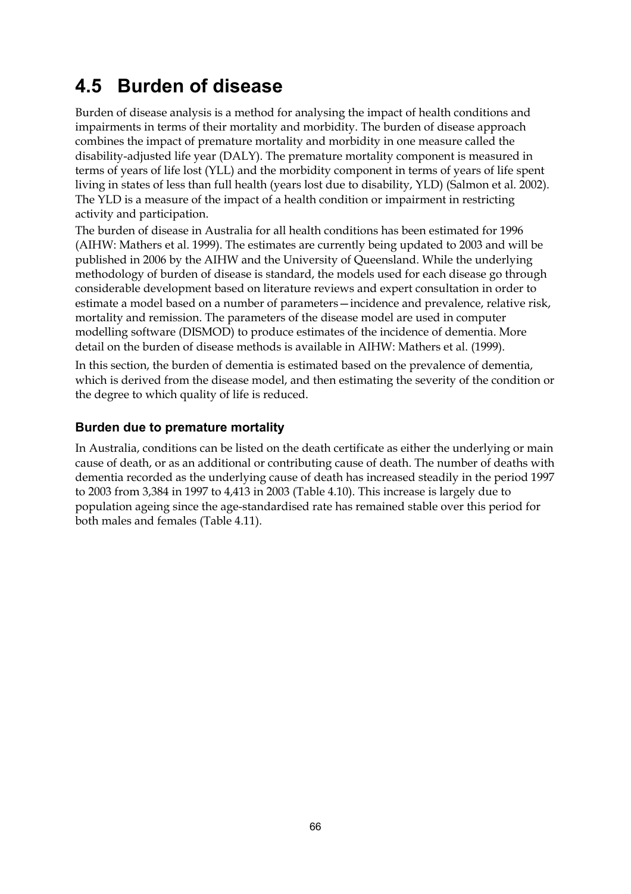# **4.5 Burden of disease**

Burden of disease analysis is a method for analysing the impact of health conditions and impairments in terms of their mortality and morbidity. The burden of disease approach combines the impact of premature mortality and morbidity in one measure called the disability-adjusted life year (DALY). The premature mortality component is measured in terms of years of life lost (YLL) and the morbidity component in terms of years of life spent living in states of less than full health (years lost due to disability, YLD) (Salmon et al. 2002). The YLD is a measure of the impact of a health condition or impairment in restricting activity and participation.

The burden of disease in Australia for all health conditions has been estimated for 1996 (AIHW: Mathers et al. 1999). The estimates are currently being updated to 2003 and will be published in 2006 by the AIHW and the University of Queensland. While the underlying methodology of burden of disease is standard, the models used for each disease go through considerable development based on literature reviews and expert consultation in order to estimate a model based on a number of parameters—incidence and prevalence, relative risk, mortality and remission. The parameters of the disease model are used in computer modelling software (DISMOD) to produce estimates of the incidence of dementia. More detail on the burden of disease methods is available in AIHW: Mathers et al. (1999).

In this section, the burden of dementia is estimated based on the prevalence of dementia, which is derived from the disease model, and then estimating the severity of the condition or the degree to which quality of life is reduced.

### **Burden due to premature mortality**

In Australia, conditions can be listed on the death certificate as either the underlying or main cause of death, or as an additional or contributing cause of death. The number of deaths with dementia recorded as the underlying cause of death has increased steadily in the period 1997 to 2003 from 3,384 in 1997 to 4,413 in 2003 (Table 4.10). This increase is largely due to population ageing since the age-standardised rate has remained stable over this period for both males and females (Table 4.11).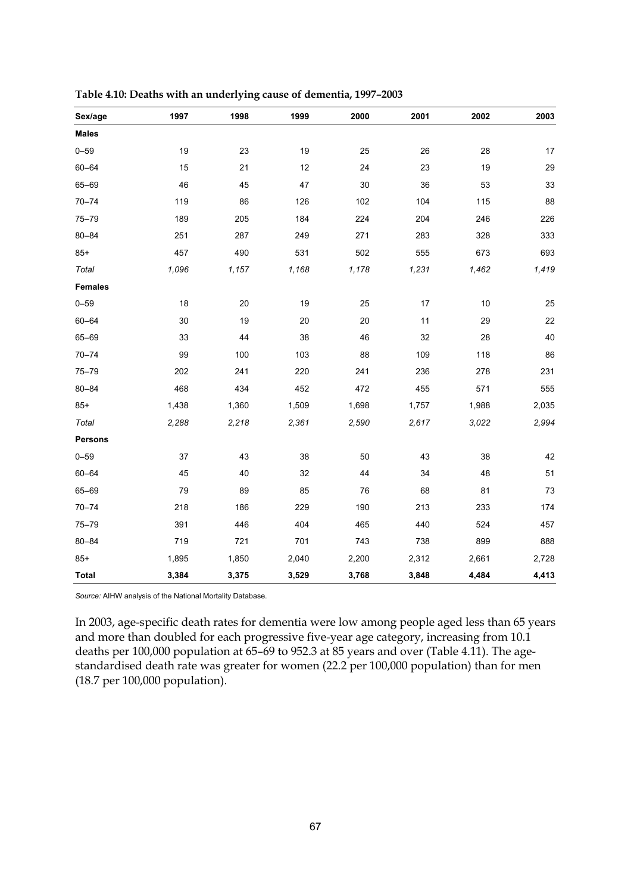| Sex/age        | 1997   | 1998  | 1999  | 2000   | 2001  | 2002  | 2003  |
|----------------|--------|-------|-------|--------|-------|-------|-------|
| <b>Males</b>   |        |       |       |        |       |       |       |
| $0 - 59$       | 19     | 23    | 19    | 25     | 26    | 28    | 17    |
| $60 - 64$      | 15     | 21    | 12    | 24     | 23    | 19    | 29    |
| 65-69          | 46     | 45    | 47    | 30     | 36    | 53    | 33    |
| $70 - 74$      | 119    | 86    | 126   | 102    | 104   | 115   | 88    |
| $75 - 79$      | 189    | 205   | 184   | 224    | 204   | 246   | 226   |
| $80 - 84$      | 251    | 287   | 249   | 271    | 283   | 328   | 333   |
| $85+$          | 457    | 490   | 531   | 502    | 555   | 673   | 693   |
| Total          | 1,096  | 1,157 | 1,168 | 1,178  | 1,231 | 1,462 | 1,419 |
| <b>Females</b> |        |       |       |        |       |       |       |
| $0 - 59$       | 18     | 20    | 19    | 25     | 17    | 10    | 25    |
| $60 - 64$      | $30\,$ | 19    | 20    | $20\,$ | 11    | 29    | 22    |
| 65-69          | 33     | 44    | 38    | 46     | 32    | 28    | 40    |
| $70 - 74$      | 99     | 100   | 103   | 88     | 109   | 118   | 86    |
| $75 - 79$      | 202    | 241   | 220   | 241    | 236   | 278   | 231   |
| $80 - 84$      | 468    | 434   | 452   | 472    | 455   | 571   | 555   |
| $85+$          | 1,438  | 1,360 | 1,509 | 1,698  | 1,757 | 1,988 | 2,035 |
| Total          | 2,288  | 2,218 | 2,361 | 2,590  | 2,617 | 3,022 | 2,994 |
| <b>Persons</b> |        |       |       |        |       |       |       |
| $0 - 59$       | $37\,$ | 43    | 38    | 50     | 43    | 38    | 42    |
| $60 - 64$      | 45     | 40    | 32    | 44     | 34    | 48    | 51    |
| 65-69          | 79     | 89    | 85    | 76     | 68    | 81    | 73    |
| $70 - 74$      | 218    | 186   | 229   | 190    | 213   | 233   | 174   |
| $75 - 79$      | 391    | 446   | 404   | 465    | 440   | 524   | 457   |
| $80 - 84$      | 719    | 721   | 701   | 743    | 738   | 899   | 888   |
| $85+$          | 1,895  | 1,850 | 2,040 | 2,200  | 2,312 | 2,661 | 2,728 |
| <b>Total</b>   | 3,384  | 3,375 | 3,529 | 3,768  | 3,848 | 4,484 | 4,413 |

**Table 4.10: Deaths with an underlying cause of dementia, 1997–2003** 

*Source:* AIHW analysis of the National Mortality Database.

In 2003, age-specific death rates for dementia were low among people aged less than 65 years and more than doubled for each progressive five-year age category, increasing from 10.1 deaths per 100,000 population at 65–69 to 952.3 at 85 years and over (Table 4.11). The agestandardised death rate was greater for women (22.2 per 100,000 population) than for men (18.7 per 100,000 population).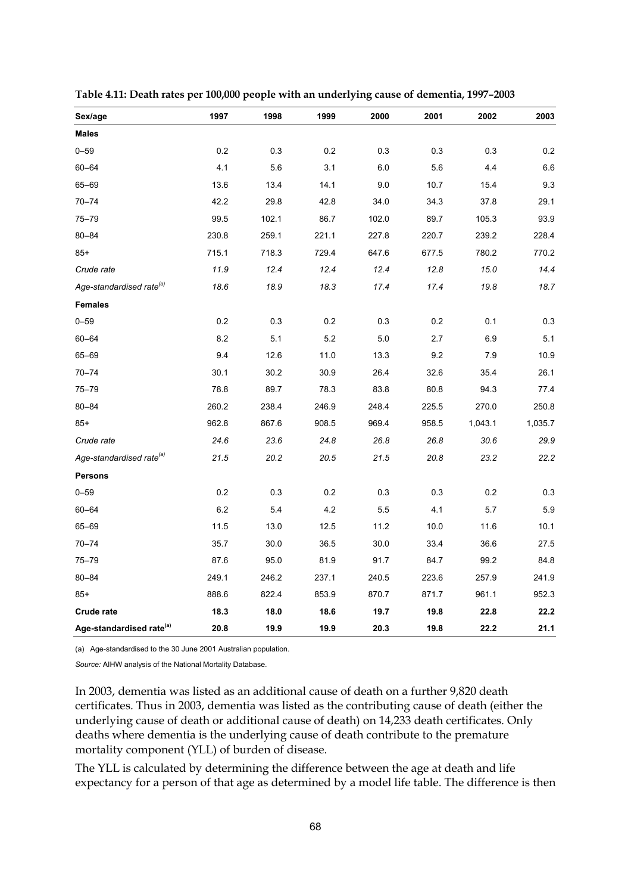| Sex/age                              | 1997    | 1998  | 1999  | 2000  | 2001  | 2002    | 2003    |
|--------------------------------------|---------|-------|-------|-------|-------|---------|---------|
| <b>Males</b>                         |         |       |       |       |       |         |         |
| $0 - 59$                             | 0.2     | 0.3   | 0.2   | 0.3   | 0.3   | 0.3     | 0.2     |
| $60 - 64$                            | 4.1     | 5.6   | 3.1   | 6.0   | 5.6   | 4.4     | 6.6     |
| 65-69                                | 13.6    | 13.4  | 14.1  | 9.0   | 10.7  | 15.4    | 9.3     |
| $70 - 74$                            | 42.2    | 29.8  | 42.8  | 34.0  | 34.3  | 37.8    | 29.1    |
| $75 - 79$                            | 99.5    | 102.1 | 86.7  | 102.0 | 89.7  | 105.3   | 93.9    |
| $80 - 84$                            | 230.8   | 259.1 | 221.1 | 227.8 | 220.7 | 239.2   | 228.4   |
| $85+$                                | 715.1   | 718.3 | 729.4 | 647.6 | 677.5 | 780.2   | 770.2   |
| Crude rate                           | 11.9    | 12.4  | 12.4  | 12.4  | 12.8  | 15.0    | 14.4    |
| Age-standardised rate <sup>(a)</sup> | 18.6    | 18.9  | 18.3  | 17.4  | 17.4  | 19.8    | 18.7    |
| <b>Females</b>                       |         |       |       |       |       |         |         |
| $0 - 59$                             | 0.2     | 0.3   | 0.2   | 0.3   | 0.2   | 0.1     | 0.3     |
| $60 - 64$                            | 8.2     | 5.1   | 5.2   | 5.0   | 2.7   | 6.9     | 5.1     |
| 65-69                                | 9.4     | 12.6  | 11.0  | 13.3  | 9.2   | 7.9     | 10.9    |
| $70 - 74$                            | 30.1    | 30.2  | 30.9  | 26.4  | 32.6  | 35.4    | 26.1    |
| $75 - 79$                            | 78.8    | 89.7  | 78.3  | 83.8  | 80.8  | 94.3    | 77.4    |
| $80 - 84$                            | 260.2   | 238.4 | 246.9 | 248.4 | 225.5 | 270.0   | 250.8   |
| $85+$                                | 962.8   | 867.6 | 908.5 | 969.4 | 958.5 | 1,043.1 | 1,035.7 |
| Crude rate                           | 24.6    | 23.6  | 24.8  | 26.8  | 26.8  | 30.6    | 29.9    |
| Age-standardised rate <sup>(a)</sup> | 21.5    | 20.2  | 20.5  | 21.5  | 20.8  | 23.2    | 22.2    |
| Persons                              |         |       |       |       |       |         |         |
| $0 - 59$                             | 0.2     | 0.3   | 0.2   | 0.3   | 0.3   | 0.2     | 0.3     |
| $60 - 64$                            | $6.2\,$ | 5.4   | 4.2   | 5.5   | 4.1   | 5.7     | 5.9     |
| 65-69                                | 11.5    | 13.0  | 12.5  | 11.2  | 10.0  | 11.6    | 10.1    |
| $70 - 74$                            | 35.7    | 30.0  | 36.5  | 30.0  | 33.4  | 36.6    | 27.5    |
| $75 - 79$                            | 87.6    | 95.0  | 81.9  | 91.7  | 84.7  | 99.2    | 84.8    |
| $80 - 84$                            | 249.1   | 246.2 | 237.1 | 240.5 | 223.6 | 257.9   | 241.9   |
| $85+$                                | 888.6   | 822.4 | 853.9 | 870.7 | 871.7 | 961.1   | 952.3   |
| Crude rate                           | 18.3    | 18.0  | 18.6  | 19.7  | 19.8  | 22.8    | 22.2    |
| Age-standardised rate <sup>(a)</sup> | 20.8    | 19.9  | 19.9  | 20.3  | 19.8  | 22.2    | 21.1    |

**Table 4.11: Death rates per 100,000 people with an underlying cause of dementia, 1997–2003** 

(a) Age-standardised to the 30 June 2001 Australian population.

*Source:* AIHW analysis of the National Mortality Database.

In 2003, dementia was listed as an additional cause of death on a further 9,820 death certificates. Thus in 2003, dementia was listed as the contributing cause of death (either the underlying cause of death or additional cause of death) on 14,233 death certificates. Only deaths where dementia is the underlying cause of death contribute to the premature mortality component (YLL) of burden of disease.

The YLL is calculated by determining the difference between the age at death and life expectancy for a person of that age as determined by a model life table. The difference is then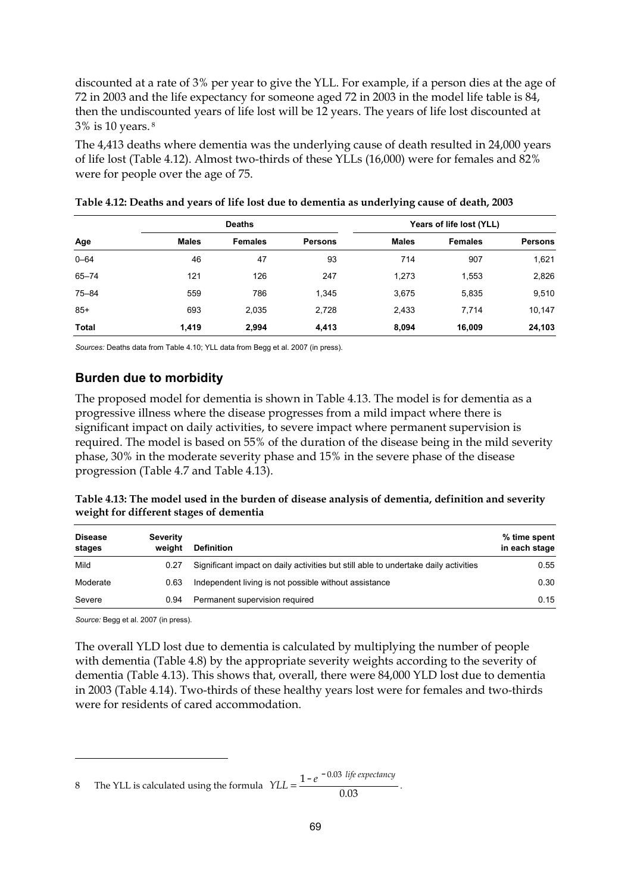discounted at a rate of 3% per year to give the YLL. For example, if a person dies at the age of 72 in 2003 and the life expectancy for someone aged 72 in 2003 in the model life table is 84, then the undiscounted years of life lost will be 12 years. The years of life lost discounted at 3% is 10 years. 8

The 4,413 deaths where dementia was the underlying cause of death resulted in 24,000 years of life lost (Table 4.12). Almost two-thirds of these YLLs (16,000) were for females and 82% were for people over the age of 75.

|           |              | <b>Deaths</b>  |                | Years of life lost (YLL) |                |                |
|-----------|--------------|----------------|----------------|--------------------------|----------------|----------------|
| Age       | <b>Males</b> | <b>Females</b> | <b>Persons</b> | <b>Males</b>             | <b>Females</b> | <b>Persons</b> |
| $0 - 64$  | 46           | 47             | 93             | 714                      | 907            | 1,621          |
| $65 - 74$ | 121          | 126            | 247            | 1,273                    | 1,553          | 2,826          |
| $75 - 84$ | 559          | 786            | 1,345          | 3,675                    | 5,835          | 9,510          |
| $85+$     | 693          | 2,035          | 2,728          | 2,433                    | 7.714          | 10,147         |
| Total     | 1,419        | 2,994          | 4,413          | 8,094                    | 16,009         | 24,103         |

| Table 4.12: Deaths and years of life lost due to dementia as underlying cause of death, 2003 |  |  |
|----------------------------------------------------------------------------------------------|--|--|
|                                                                                              |  |  |

*Sources:* Deaths data from Table 4.10; YLL data from Begg et al. 2007 (in press).

#### **Burden due to morbidity**

The proposed model for dementia is shown in Table 4.13. The model is for dementia as a progressive illness where the disease progresses from a mild impact where there is significant impact on daily activities, to severe impact where permanent supervision is required. The model is based on 55% of the duration of the disease being in the mild severity phase, 30% in the moderate severity phase and 15% in the severe phase of the disease progression (Table 4.7 and Table 4.13).

| Table 4.13: The model used in the burden of disease analysis of dementia, definition and severity |
|---------------------------------------------------------------------------------------------------|
| weight for different stages of dementia                                                           |

| <b>Disease</b><br>stages | <b>Severity</b><br>weight | <b>Definition</b>                                                                   | % time spent<br>in each stage |
|--------------------------|---------------------------|-------------------------------------------------------------------------------------|-------------------------------|
| Mild                     | 0.27                      | Significant impact on daily activities but still able to undertake daily activities | 0.55                          |
| Moderate                 | 0.63                      | Independent living is not possible without assistance                               | 0.30                          |
| Severe                   | 0.94                      | Permanent supervision required                                                      | 0.15                          |

*Source:* Begg et al. 2007 (in press).

 $\ddot{\phantom{a}}$ 

The overall YLD lost due to dementia is calculated by multiplying the number of people with dementia (Table 4.8) by the appropriate severity weights according to the severity of dementia (Table 4.13). This shows that, overall, there were 84,000 YLD lost due to dementia in 2003 (Table 4.14). Two-thirds of these healthy years lost were for females and two-thirds were for residents of cared accommodation

8 The YLL is calculated using the formula  $YLL = \frac{1 - e^{-0.03 \text{ life } expectedancy}}{0.03}$ .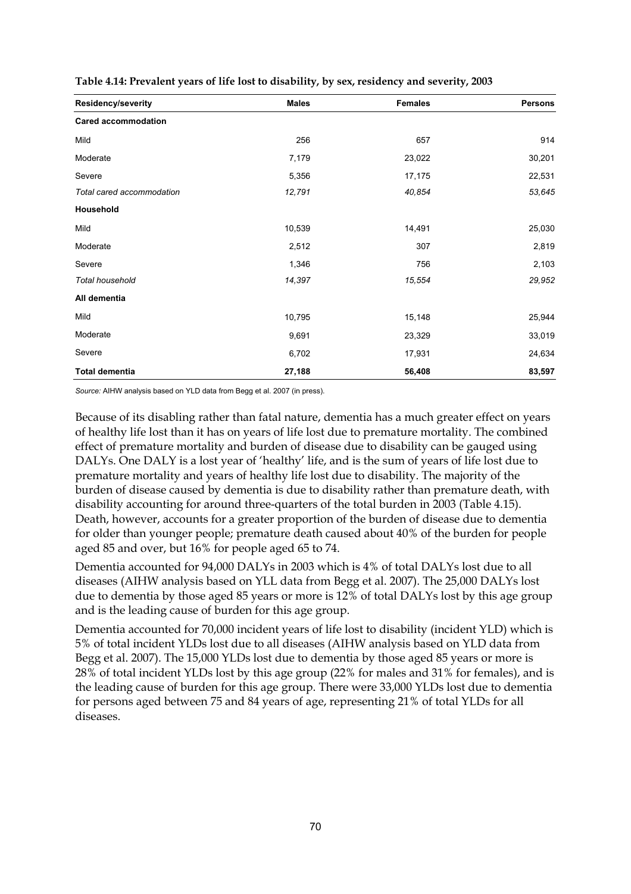| Residency/severity         | <b>Males</b> | <b>Females</b> | <b>Persons</b> |
|----------------------------|--------------|----------------|----------------|
| <b>Cared accommodation</b> |              |                |                |
| Mild                       | 256          | 657            | 914            |
| Moderate                   | 7,179        | 23,022         | 30,201         |
| Severe                     | 5,356        | 17,175         | 22,531         |
| Total cared accommodation  | 12,791       | 40,854         | 53,645         |
| Household                  |              |                |                |
| Mild                       | 10,539       | 14,491         | 25,030         |
| Moderate                   | 2,512        | 307            | 2,819          |
| Severe                     | 1,346        | 756            | 2,103          |
| Total household            | 14,397       | 15,554         | 29,952         |
| All dementia               |              |                |                |
| Mild                       | 10,795       | 15,148         | 25,944         |
| Moderate                   | 9,691        | 23,329         | 33,019         |
| Severe                     | 6,702        | 17,931         | 24,634         |
| <b>Total dementia</b>      | 27,188       | 56,408         | 83,597         |

**Table 4.14: Prevalent years of life lost to disability, by sex, residency and severity, 2003** 

*Source:* AIHW analysis based on YLD data from Begg et al. 2007 (in press).

Because of its disabling rather than fatal nature, dementia has a much greater effect on years of healthy life lost than it has on years of life lost due to premature mortality. The combined effect of premature mortality and burden of disease due to disability can be gauged using DALYs. One DALY is a lost year of 'healthy' life, and is the sum of years of life lost due to premature mortality and years of healthy life lost due to disability. The majority of the burden of disease caused by dementia is due to disability rather than premature death, with disability accounting for around three-quarters of the total burden in 2003 (Table 4.15). Death, however, accounts for a greater proportion of the burden of disease due to dementia for older than younger people; premature death caused about 40% of the burden for people aged 85 and over, but 16% for people aged 65 to 74.

Dementia accounted for 94,000 DALYs in 2003 which is 4% of total DALYs lost due to all diseases (AIHW analysis based on YLL data from Begg et al. 2007). The 25,000 DALYs lost due to dementia by those aged 85 years or more is 12% of total DALYs lost by this age group and is the leading cause of burden for this age group.

Dementia accounted for 70,000 incident years of life lost to disability (incident YLD) which is 5% of total incident YLDs lost due to all diseases (AIHW analysis based on YLD data from Begg et al. 2007). The 15,000 YLDs lost due to dementia by those aged 85 years or more is 28% of total incident YLDs lost by this age group (22% for males and 31% for females), and is the leading cause of burden for this age group. There were 33,000 YLDs lost due to dementia for persons aged between 75 and 84 years of age, representing 21% of total YLDs for all diseases.